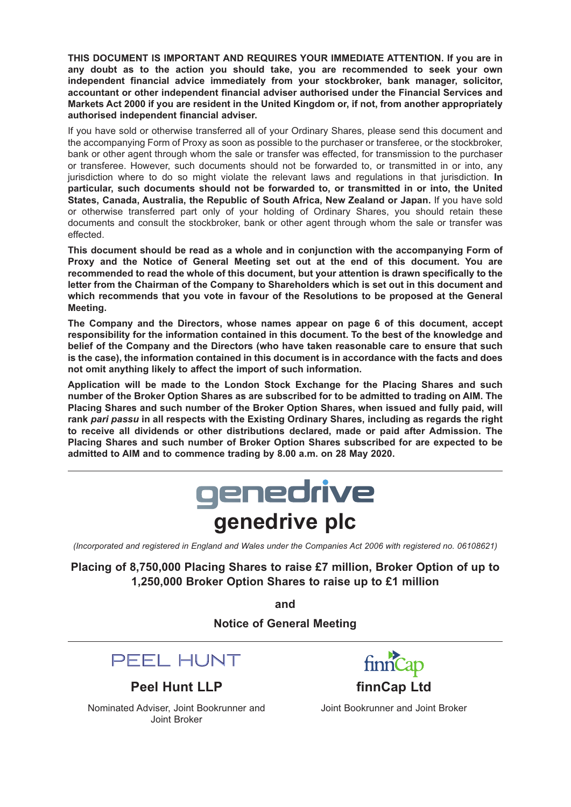**THIS DOCUMENT IS IMPORTANT AND REQUIRES YOUR IMMEDIATE ATTENTION. If you are in any doubt as to the action you should take, you are recommended to seek your own independent financial advice immediately from your stockbroker, bank manager, solicitor, accountant or other independent financial adviser authorised under the Financial Services and Markets Act 2000 if you are resident in the United Kingdom or, if not, from another appropriately authorised independent financial adviser.**

If you have sold or otherwise transferred all of your Ordinary Shares, please send this document and the accompanying Form of Proxy as soon as possible to the purchaser or transferee, or the stockbroker, bank or other agent through whom the sale or transfer was effected, for transmission to the purchaser or transferee. However, such documents should not be forwarded to, or transmitted in or into, any jurisdiction where to do so might violate the relevant laws and regulations in that jurisdiction. **In particular, such documents should not be forwarded to, or transmitted in or into, the United States, Canada, Australia, the Republic of South Africa, New Zealand or Japan.** If you have sold or otherwise transferred part only of your holding of Ordinary Shares, you should retain these documents and consult the stockbroker, bank or other agent through whom the sale or transfer was effected.

**This document should be read as a whole and in conjunction with the accompanying Form of Proxy and the Notice of General Meeting set out at the end of this document. You are recommended to read the whole of this document, but your attention is drawn specifically to the letter from the Chairman of the Company to Shareholders which is set out in this document and which recommends that you vote in favour of the Resolutions to be proposed at the General Meeting.**

**The Company and the Directors, whose names appear on page 6 of this document, accept responsibility for the information contained in this document. To the best of the knowledge and belief of the Company and the Directors (who have taken reasonable care to ensure that such is the case), the information contained in this document is in accordance with the facts and does not omit anything likely to affect the import of such information.**

**Application will be made to the London Stock Exchange for the Placing Shares and such number of the Broker Option Shares as are subscribed for to be admitted to trading on AIM. The Placing Shares and such number of the Broker Option Shares, when issued and fully paid, will rank** *pari passu* **in all respects with the Existing Ordinary Shares, including as regards the right to receive all dividends or other distributions declared, made or paid after Admission. The Placing Shares and such number of Broker Option Shares subscribed for are expected to be admitted to AIM and to commence trading by 8.00 a.m. on 28 May 2020.**



*(Incorporated and registered in England and Wales under the Companies Act 2006 with registered no. 06108621)*

**Placing of 8,750,000 Placing Shares to raise £7 million, Broker Option of up to 1,250,000 Broker Option Shares to raise up to £1 million**

**and**

**Notice of General Meeting**



**Peel Hunt LLP** finnCap Ltd

Nominated Adviser, Joint Bookrunner and Joint Bookrunner and Joint Broker Joint Broker

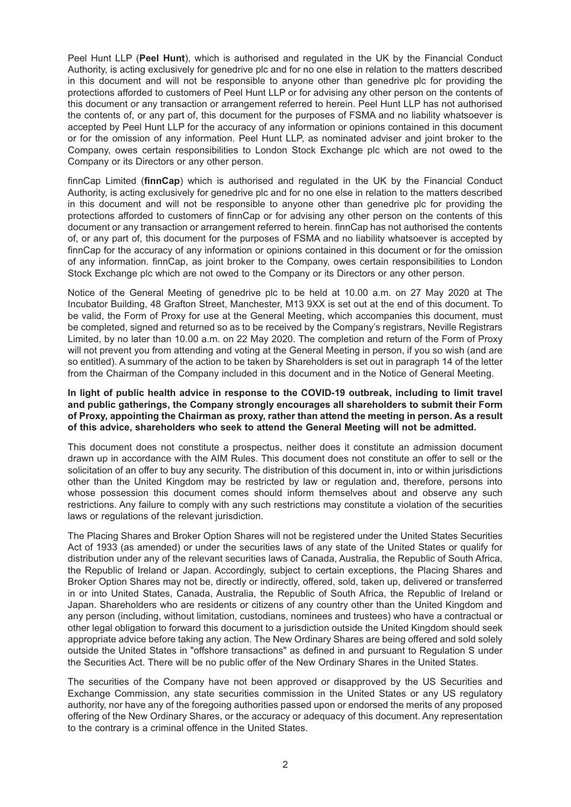Peel Hunt LLP (**Peel Hunt**), which is authorised and regulated in the UK by the Financial Conduct Authority, is acting exclusively for genedrive plc and for no one else in relation to the matters described in this document and will not be responsible to anyone other than genedrive plc for providing the protections afforded to customers of Peel Hunt LLP or for advising any other person on the contents of this document or any transaction or arrangement referred to herein. Peel Hunt LLP has not authorised the contents of, or any part of, this document for the purposes of FSMA and no liability whatsoever is accepted by Peel Hunt LLP for the accuracy of any information or opinions contained in this document or for the omission of any information. Peel Hunt LLP, as nominated adviser and joint broker to the Company, owes certain responsibilities to London Stock Exchange plc which are not owed to the Company or its Directors or any other person.

finnCap Limited (**finnCap**) which is authorised and regulated in the UK by the Financial Conduct Authority, is acting exclusively for genedrive plc and for no one else in relation to the matters described in this document and will not be responsible to anyone other than genedrive plc for providing the protections afforded to customers of finnCap or for advising any other person on the contents of this document or any transaction or arrangement referred to herein. finnCap has not authorised the contents of, or any part of, this document for the purposes of FSMA and no liability whatsoever is accepted by finnCap for the accuracy of any information or opinions contained in this document or for the omission of any information. finnCap, as joint broker to the Company, owes certain responsibilities to London Stock Exchange plc which are not owed to the Company or its Directors or any other person.

Notice of the General Meeting of genedrive plc to be held at 10.00 a.m. on 27 May 2020 at The Incubator Building, 48 Grafton Street, Manchester, M13 9XX is set out at the end of this document. To be valid, the Form of Proxy for use at the General Meeting, which accompanies this document, must be completed, signed and returned so as to be received by the Company's registrars, Neville Registrars Limited, by no later than 10.00 a.m. on 22 May 2020. The completion and return of the Form of Proxy will not prevent you from attending and voting at the General Meeting in person, if you so wish (and are so entitled). A summary of the action to be taken by Shareholders is set out in paragraph 14 of the letter from the Chairman of the Company included in this document and in the Notice of General Meeting.

#### **In light of public health advice in response to the COVID-19 outbreak, including to limit travel and public gatherings, the Company strongly encourages all shareholders to submit their Form of Proxy, appointing the Chairman as proxy, rather than attend the meeting in person. As a result of this advice, shareholders who seek to attend the General Meeting will not be admitted.**

This document does not constitute a prospectus, neither does it constitute an admission document drawn up in accordance with the AIM Rules. This document does not constitute an offer to sell or the solicitation of an offer to buy any security. The distribution of this document in, into or within jurisdictions other than the United Kingdom may be restricted by law or regulation and, therefore, persons into whose possession this document comes should inform themselves about and observe any such restrictions. Any failure to comply with any such restrictions may constitute a violation of the securities laws or regulations of the relevant jurisdiction.

The Placing Shares and Broker Option Shares will not be registered under the United States Securities Act of 1933 (as amended) or under the securities laws of any state of the United States or qualify for distribution under any of the relevant securities laws of Canada, Australia, the Republic of South Africa, the Republic of Ireland or Japan. Accordingly, subject to certain exceptions, the Placing Shares and Broker Option Shares may not be, directly or indirectly, offered, sold, taken up, delivered or transferred in or into United States, Canada, Australia, the Republic of South Africa, the Republic of Ireland or Japan. Shareholders who are residents or citizens of any country other than the United Kingdom and any person (including, without limitation, custodians, nominees and trustees) who have a contractual or other legal obligation to forward this document to a jurisdiction outside the United Kingdom should seek appropriate advice before taking any action. The New Ordinary Shares are being offered and sold solely outside the United States in "offshore transactions" as defined in and pursuant to Regulation S under the Securities Act. There will be no public offer of the New Ordinary Shares in the United States.

The securities of the Company have not been approved or disapproved by the US Securities and Exchange Commission, any state securities commission in the United States or any US regulatory authority, nor have any of the foregoing authorities passed upon or endorsed the merits of any proposed offering of the New Ordinary Shares, or the accuracy or adequacy of this document. Any representation to the contrary is a criminal offence in the United States.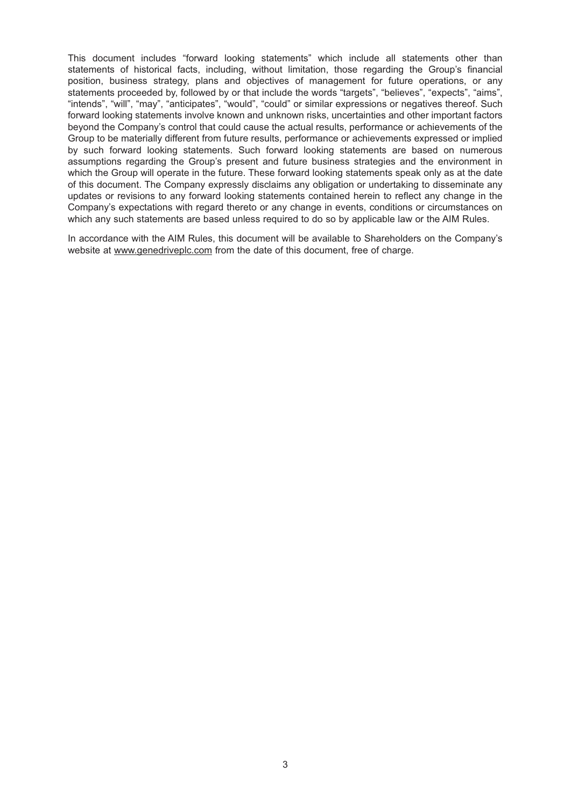This document includes "forward looking statements" which include all statements other than statements of historical facts, including, without limitation, those regarding the Group's financial position, business strategy, plans and objectives of management for future operations, or any statements proceeded by, followed by or that include the words "targets", "believes", "expects", "aims", "intends", "will", "may", "anticipates", "would", "could" or similar expressions or negatives thereof. Such forward looking statements involve known and unknown risks, uncertainties and other important factors beyond the Company's control that could cause the actual results, performance or achievements of the Group to be materially different from future results, performance or achievements expressed or implied by such forward looking statements. Such forward looking statements are based on numerous assumptions regarding the Group's present and future business strategies and the environment in which the Group will operate in the future. These forward looking statements speak only as at the date of this document. The Company expressly disclaims any obligation or undertaking to disseminate any updates or revisions to any forward looking statements contained herein to reflect any change in the Company's expectations with regard thereto or any change in events, conditions or circumstances on which any such statements are based unless required to do so by applicable law or the AIM Rules.

In accordance with the AIM Rules, this document will be available to Shareholders on the Company's website at www.genedriveplc.com from the date of this document, free of charge.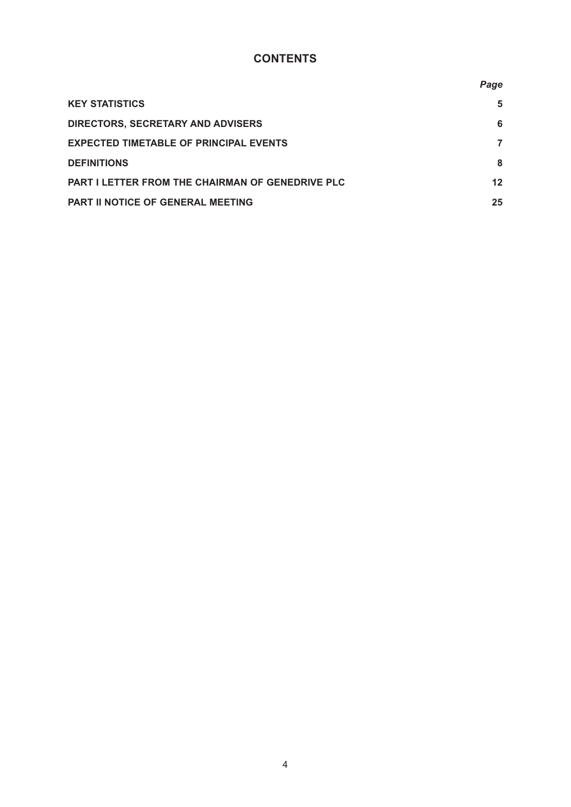# **CONTENTS**

|                                                         | Page |
|---------------------------------------------------------|------|
| <b>KEY STATISTICS</b>                                   | 5    |
| <b>DIRECTORS, SECRETARY AND ADVISERS</b>                | 6    |
| <b>EXPECTED TIMETABLE OF PRINCIPAL EVENTS</b>           | 7    |
| <b>DEFINITIONS</b>                                      | 8    |
| <b>PART I LETTER FROM THE CHAIRMAN OF GENEDRIVE PLC</b> | 12   |
| <b>PART II NOTICE OF GENERAL MEETING</b>                | 25   |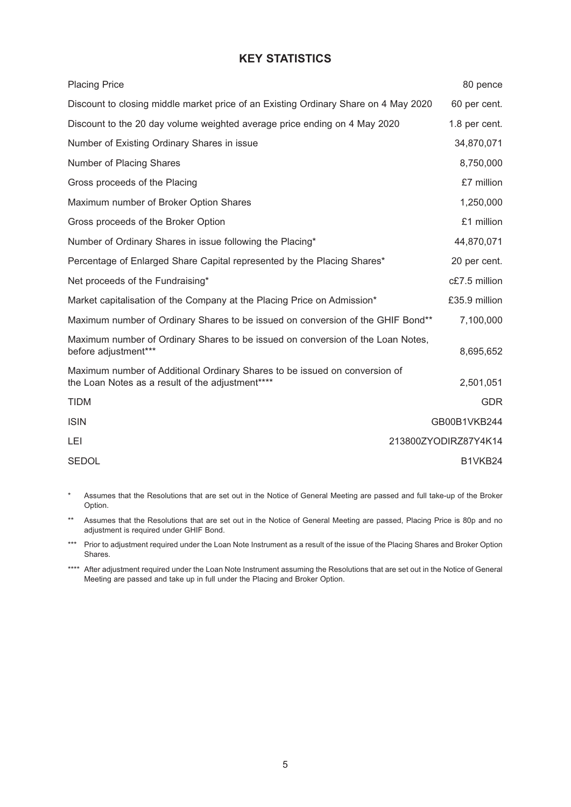# **KEY STATISTICS**

| <b>Placing Price</b>                                                                                                           | 80 pence             |
|--------------------------------------------------------------------------------------------------------------------------------|----------------------|
| Discount to closing middle market price of an Existing Ordinary Share on 4 May 2020                                            | 60 per cent.         |
| Discount to the 20 day volume weighted average price ending on 4 May 2020                                                      | 1.8 per cent.        |
| Number of Existing Ordinary Shares in issue                                                                                    | 34,870,071           |
| Number of Placing Shares                                                                                                       | 8,750,000            |
| Gross proceeds of the Placing                                                                                                  | £7 million           |
| Maximum number of Broker Option Shares                                                                                         | 1,250,000            |
| Gross proceeds of the Broker Option                                                                                            | £1 million           |
| Number of Ordinary Shares in issue following the Placing*                                                                      | 44,870,071           |
| Percentage of Enlarged Share Capital represented by the Placing Shares*                                                        | 20 per cent.         |
| Net proceeds of the Fundraising*                                                                                               | c£7.5 million        |
| Market capitalisation of the Company at the Placing Price on Admission*                                                        | £35.9 million        |
| Maximum number of Ordinary Shares to be issued on conversion of the GHIF Bond**                                                | 7,100,000            |
| Maximum number of Ordinary Shares to be issued on conversion of the Loan Notes,<br>before adjustment***                        | 8,695,652            |
| Maximum number of Additional Ordinary Shares to be issued on conversion of<br>the Loan Notes as a result of the adjustment**** | 2,501,051            |
| <b>TIDM</b>                                                                                                                    | <b>GDR</b>           |
| <b>ISIN</b>                                                                                                                    | GB00B1VKB244         |
| LEI                                                                                                                            | 213800ZYODIRZ87Y4K14 |
| <b>SEDOL</b>                                                                                                                   | B1VKB24              |

\* Assumes that the Resolutions that are set out in the Notice of General Meeting are passed and full take-up of the Broker Option.

\*\* Assumes that the Resolutions that are set out in the Notice of General Meeting are passed, Placing Price is 80p and no adjustment is required under GHIF Bond.

\*\*\* Prior to adjustment required under the Loan Note Instrument as a result of the issue of the Placing Shares and Broker Option Shares.

\*\*\*\* After adjustment required under the Loan Note Instrument assuming the Resolutions that are set out in the Notice of General Meeting are passed and take up in full under the Placing and Broker Option.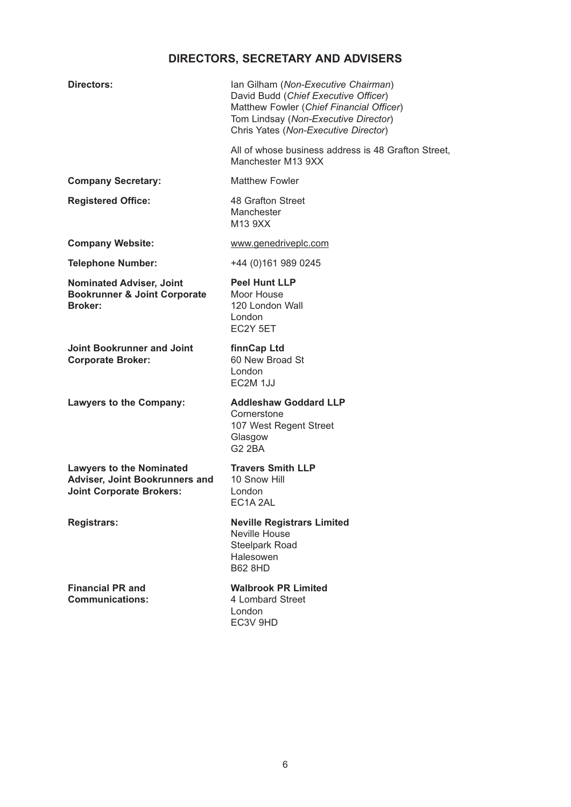# **DIRECTORS, SECRETARY AND ADVISERS**

| Directors:                                                                                           | Ian Gilham (Non-Executive Chairman)<br>David Budd (Chief Executive Officer)<br>Matthew Fowler (Chief Financial Officer)<br>Tom Lindsay (Non-Executive Director)<br>Chris Yates (Non-Executive Director) |
|------------------------------------------------------------------------------------------------------|---------------------------------------------------------------------------------------------------------------------------------------------------------------------------------------------------------|
|                                                                                                      | All of whose business address is 48 Grafton Street,<br>Manchester M13 9XX                                                                                                                               |
| <b>Company Secretary:</b>                                                                            | <b>Matthew Fowler</b>                                                                                                                                                                                   |
| <b>Registered Office:</b>                                                                            | 48 Grafton Street<br>Manchester<br>M13 9XX                                                                                                                                                              |
| <b>Company Website:</b>                                                                              | www.genedriveplc.com                                                                                                                                                                                    |
| <b>Telephone Number:</b>                                                                             | +44 (0)161 989 0245                                                                                                                                                                                     |
| <b>Nominated Adviser, Joint</b><br><b>Bookrunner &amp; Joint Corporate</b><br><b>Broker:</b>         | <b>Peel Hunt LLP</b><br>Moor House<br>120 London Wall<br>London<br>EC2Y 5ET                                                                                                                             |
| Joint Bookrunner and Joint<br><b>Corporate Broker:</b>                                               | finnCap Ltd<br>60 New Broad St<br>London<br>EC2M 1JJ                                                                                                                                                    |
| <b>Lawyers to the Company:</b>                                                                       | <b>Addleshaw Goddard LLP</b><br>Cornerstone<br>107 West Regent Street<br>Glasgow<br><b>G2 2BA</b>                                                                                                       |
| <b>Lawyers to the Nominated</b><br>Adviser, Joint Bookrunners and<br><b>Joint Corporate Brokers:</b> | <b>Travers Smith LLP</b><br>10 Snow Hill<br>London<br>EC1A 2AL                                                                                                                                          |
| <b>Registrars:</b>                                                                                   | <b>Neville Registrars Limited</b><br>Neville House<br><b>Steelpark Road</b><br>Halesowen<br><b>B62 8HD</b>                                                                                              |
| <b>Financial PR and</b><br><b>Communications:</b>                                                    | <b>Walbrook PR Limited</b><br>4 Lombard Street<br>London<br>EC3V 9HD                                                                                                                                    |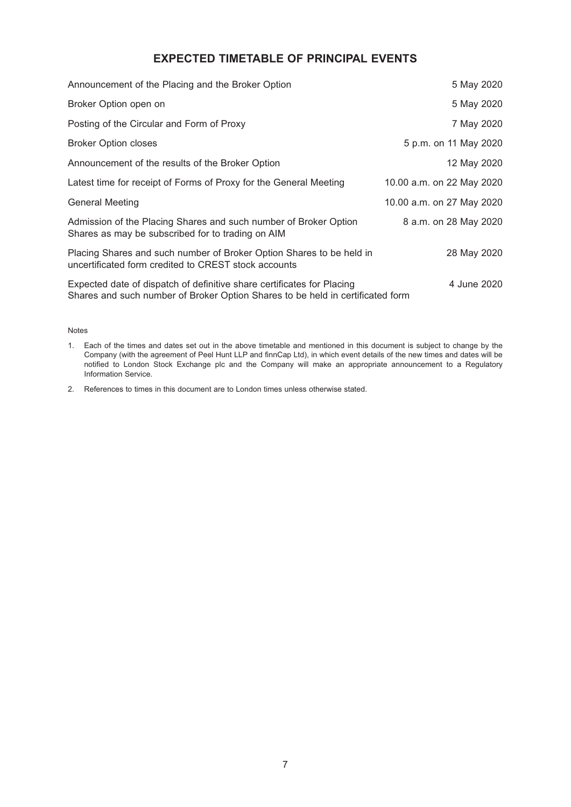# **EXPECTED TIMETABLE OF PRINCIPAL EVENTS**

| Announcement of the Placing and the Broker Option                                                                                                        | 5 May 2020                |
|----------------------------------------------------------------------------------------------------------------------------------------------------------|---------------------------|
| Broker Option open on                                                                                                                                    | 5 May 2020                |
| Posting of the Circular and Form of Proxy                                                                                                                | 7 May 2020                |
| <b>Broker Option closes</b>                                                                                                                              | 5 p.m. on 11 May 2020     |
| Announcement of the results of the Broker Option                                                                                                         | 12 May 2020               |
| Latest time for receipt of Forms of Proxy for the General Meeting                                                                                        | 10.00 a.m. on 22 May 2020 |
| <b>General Meeting</b>                                                                                                                                   | 10.00 a.m. on 27 May 2020 |
| Admission of the Placing Shares and such number of Broker Option<br>Shares as may be subscribed for to trading on AIM                                    | 8 a.m. on 28 May 2020     |
| Placing Shares and such number of Broker Option Shares to be held in<br>uncertificated form credited to CREST stock accounts                             | 28 May 2020               |
| Expected date of dispatch of definitive share certificates for Placing<br>Shares and such number of Broker Option Shares to be held in certificated form | 4 June 2020               |

#### Notes

1. Each of the times and dates set out in the above timetable and mentioned in this document is subject to change by the Company (with the agreement of Peel Hunt LLP and finnCap Ltd), in which event details of the new times and dates will be notified to London Stock Exchange plc and the Company will make an appropriate announcement to a Regulatory Information Service.

2. References to times in this document are to London times unless otherwise stated.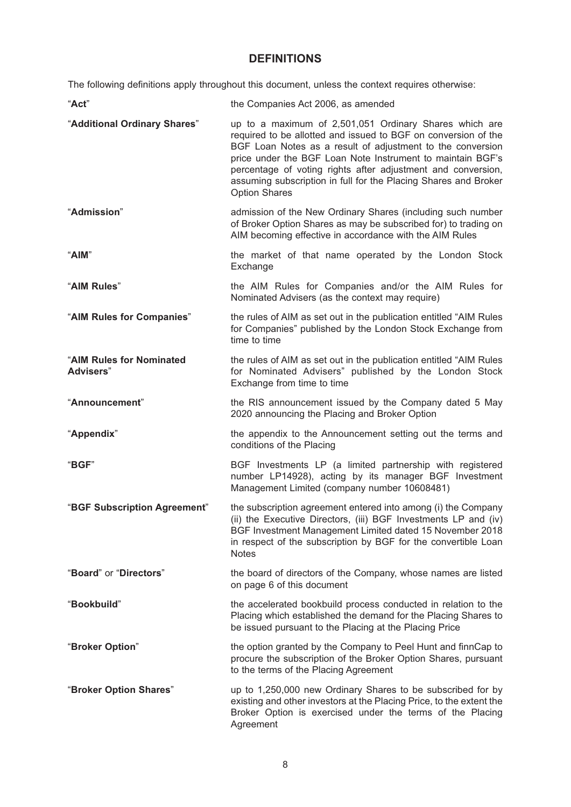# **DEFINITIONS**

The following definitions apply throughout this document, unless the context requires otherwise:

| "Act"                                         | the Companies Act 2006, as amended                                                                                                                                                                                                                                                                                                                                                                              |
|-----------------------------------------------|-----------------------------------------------------------------------------------------------------------------------------------------------------------------------------------------------------------------------------------------------------------------------------------------------------------------------------------------------------------------------------------------------------------------|
| "Additional Ordinary Shares"                  | up to a maximum of 2,501,051 Ordinary Shares which are<br>required to be allotted and issued to BGF on conversion of the<br>BGF Loan Notes as a result of adjustment to the conversion<br>price under the BGF Loan Note Instrument to maintain BGF's<br>percentage of voting rights after adjustment and conversion,<br>assuming subscription in full for the Placing Shares and Broker<br><b>Option Shares</b> |
| "Admission"                                   | admission of the New Ordinary Shares (including such number<br>of Broker Option Shares as may be subscribed for) to trading on<br>AIM becoming effective in accordance with the AIM Rules                                                                                                                                                                                                                       |
| "AIM"                                         | the market of that name operated by the London Stock<br>Exchange                                                                                                                                                                                                                                                                                                                                                |
| "AIM Rules"                                   | the AIM Rules for Companies and/or the AIM Rules for<br>Nominated Advisers (as the context may require)                                                                                                                                                                                                                                                                                                         |
| "AIM Rules for Companies"                     | the rules of AIM as set out in the publication entitled "AIM Rules<br>for Companies" published by the London Stock Exchange from<br>time to time                                                                                                                                                                                                                                                                |
| "AIM Rules for Nominated<br><b>Advisers</b> " | the rules of AIM as set out in the publication entitled "AIM Rules<br>for Nominated Advisers" published by the London Stock<br>Exchange from time to time                                                                                                                                                                                                                                                       |
| "Announcement"                                | the RIS announcement issued by the Company dated 5 May<br>2020 announcing the Placing and Broker Option                                                                                                                                                                                                                                                                                                         |
| "Appendix"                                    | the appendix to the Announcement setting out the terms and<br>conditions of the Placing                                                                                                                                                                                                                                                                                                                         |
| "BGF"                                         | BGF Investments LP (a limited partnership with registered<br>number LP14928), acting by its manager BGF Investment<br>Management Limited (company number 10608481)                                                                                                                                                                                                                                              |
| "BGF Subscription Agreement"                  | the subscription agreement entered into among (i) the Company<br>(ii) the Executive Directors, (iii) BGF Investments LP and (iv)<br>BGF Investment Management Limited dated 15 November 2018<br>in respect of the subscription by BGF for the convertible Loan<br><b>Notes</b>                                                                                                                                  |
| "Board" or "Directors"                        | the board of directors of the Company, whose names are listed<br>on page 6 of this document                                                                                                                                                                                                                                                                                                                     |
| "Bookbuild"                                   | the accelerated bookbuild process conducted in relation to the<br>Placing which established the demand for the Placing Shares to<br>be issued pursuant to the Placing at the Placing Price                                                                                                                                                                                                                      |
| "Broker Option"                               | the option granted by the Company to Peel Hunt and finnCap to<br>procure the subscription of the Broker Option Shares, pursuant<br>to the terms of the Placing Agreement                                                                                                                                                                                                                                        |
| "Broker Option Shares"                        | up to 1,250,000 new Ordinary Shares to be subscribed for by<br>existing and other investors at the Placing Price, to the extent the<br>Broker Option is exercised under the terms of the Placing<br>Agreement                                                                                                                                                                                                   |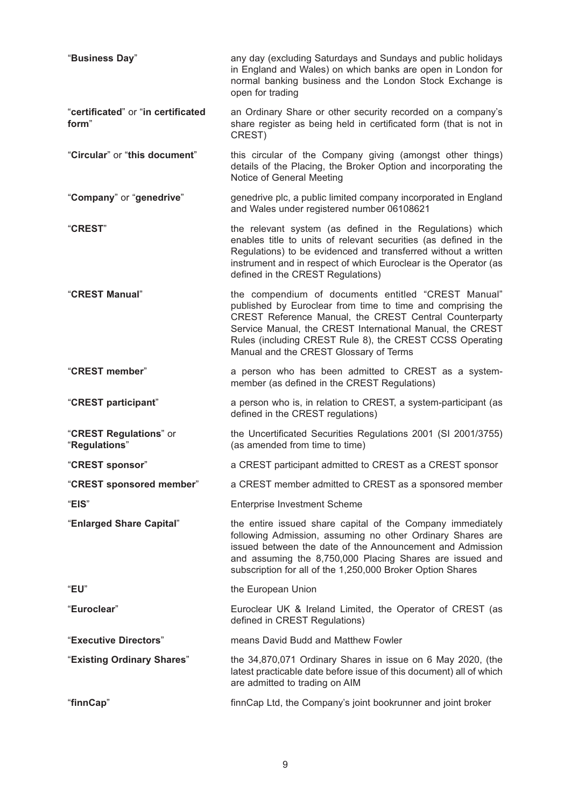| "Business Day"                              | any day (excluding Saturdays and Sundays and public holidays<br>in England and Wales) on which banks are open in London for<br>normal banking business and the London Stock Exchange is<br>open for trading                                                                                                                                     |
|---------------------------------------------|-------------------------------------------------------------------------------------------------------------------------------------------------------------------------------------------------------------------------------------------------------------------------------------------------------------------------------------------------|
| "certificated" or "in certificated<br>form" | an Ordinary Share or other security recorded on a company's<br>share register as being held in certificated form (that is not in<br>CREST)                                                                                                                                                                                                      |
| "Circular" or "this document"               | this circular of the Company giving (amongst other things)<br>details of the Placing, the Broker Option and incorporating the<br>Notice of General Meeting                                                                                                                                                                                      |
| "Company" or "genedrive"                    | genedrive plc, a public limited company incorporated in England<br>and Wales under registered number 06108621                                                                                                                                                                                                                                   |
| "CREST"                                     | the relevant system (as defined in the Regulations) which<br>enables title to units of relevant securities (as defined in the<br>Regulations) to be evidenced and transferred without a written<br>instrument and in respect of which Euroclear is the Operator (as<br>defined in the CREST Regulations)                                        |
| "CREST Manual"                              | the compendium of documents entitled "CREST Manual"<br>published by Euroclear from time to time and comprising the<br>CREST Reference Manual, the CREST Central Counterparty<br>Service Manual, the CREST International Manual, the CREST<br>Rules (including CREST Rule 8), the CREST CCSS Operating<br>Manual and the CREST Glossary of Terms |
| "CREST member"                              | a person who has been admitted to CREST as a system-<br>member (as defined in the CREST Regulations)                                                                                                                                                                                                                                            |
| "CREST participant"                         | a person who is, in relation to CREST, a system-participant (as<br>defined in the CREST regulations)                                                                                                                                                                                                                                            |
| "CREST Regulations" or<br>"Regulations"     | the Uncertificated Securities Regulations 2001 (SI 2001/3755)<br>(as amended from time to time)                                                                                                                                                                                                                                                 |
| "CREST sponsor"                             | a CREST participant admitted to CREST as a CREST sponsor                                                                                                                                                                                                                                                                                        |
| "CREST sponsored member"                    | a CREST member admitted to CREST as a sponsored member                                                                                                                                                                                                                                                                                          |
| "EIS"                                       | <b>Enterprise Investment Scheme</b>                                                                                                                                                                                                                                                                                                             |
| "Enlarged Share Capital"                    | the entire issued share capital of the Company immediately<br>following Admission, assuming no other Ordinary Shares are<br>issued between the date of the Announcement and Admission<br>and assuming the 8,750,000 Placing Shares are issued and<br>subscription for all of the 1,250,000 Broker Option Shares                                 |
| "EU"                                        | the European Union                                                                                                                                                                                                                                                                                                                              |
| "Euroclear"                                 | Euroclear UK & Ireland Limited, the Operator of CREST (as<br>defined in CREST Regulations)                                                                                                                                                                                                                                                      |
| "Executive Directors"                       | means David Budd and Matthew Fowler                                                                                                                                                                                                                                                                                                             |
| "Existing Ordinary Shares"                  | the 34,870,071 Ordinary Shares in issue on 6 May 2020, (the<br>latest practicable date before issue of this document) all of which<br>are admitted to trading on AIM                                                                                                                                                                            |
| "finnCap"                                   | finnCap Ltd, the Company's joint bookrunner and joint broker                                                                                                                                                                                                                                                                                    |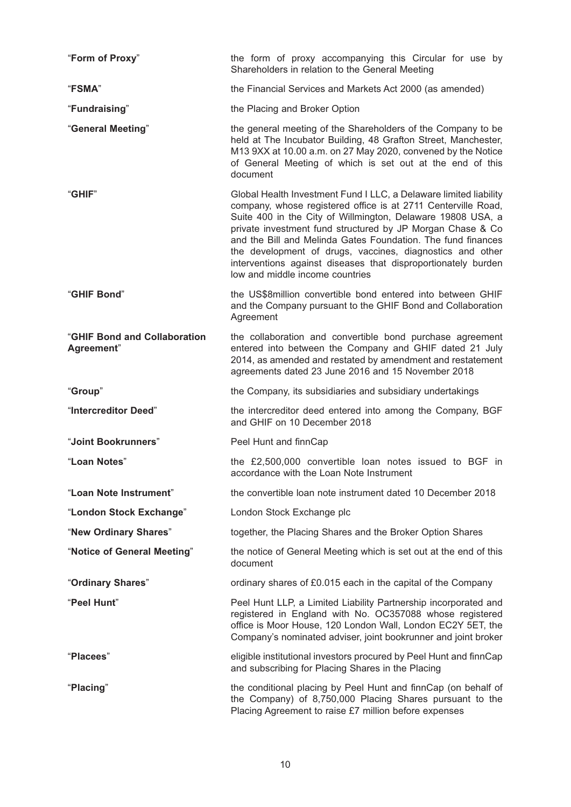| "Form of Proxy"                            | the form of proxy accompanying this Circular for use by<br>Shareholders in relation to the General Meeting                                                                                                                                                                                                                                                                                                                                                                                       |  |  |
|--------------------------------------------|--------------------------------------------------------------------------------------------------------------------------------------------------------------------------------------------------------------------------------------------------------------------------------------------------------------------------------------------------------------------------------------------------------------------------------------------------------------------------------------------------|--|--|
| "FSMA"                                     | the Financial Services and Markets Act 2000 (as amended)                                                                                                                                                                                                                                                                                                                                                                                                                                         |  |  |
| "Fundraising"                              | the Placing and Broker Option                                                                                                                                                                                                                                                                                                                                                                                                                                                                    |  |  |
| "General Meeting"                          | the general meeting of the Shareholders of the Company to be<br>held at The Incubator Building, 48 Grafton Street, Manchester,<br>M13 9XX at 10.00 a.m. on 27 May 2020, convened by the Notice<br>of General Meeting of which is set out at the end of this<br>document                                                                                                                                                                                                                          |  |  |
| "GHIF"                                     | Global Health Investment Fund I LLC, a Delaware limited liability<br>company, whose registered office is at 2711 Centerville Road,<br>Suite 400 in the City of Willmington, Delaware 19808 USA, a<br>private investment fund structured by JP Morgan Chase & Co<br>and the Bill and Melinda Gates Foundation. The fund finances<br>the development of drugs, vaccines, diagnostics and other<br>interventions against diseases that disproportionately burden<br>low and middle income countries |  |  |
| "GHIF Bond"                                | the US\$8million convertible bond entered into between GHIF<br>and the Company pursuant to the GHIF Bond and Collaboration<br>Agreement                                                                                                                                                                                                                                                                                                                                                          |  |  |
| "GHIF Bond and Collaboration<br>Agreement" | the collaboration and convertible bond purchase agreement<br>entered into between the Company and GHIF dated 21 July<br>2014, as amended and restated by amendment and restatement<br>agreements dated 23 June 2016 and 15 November 2018                                                                                                                                                                                                                                                         |  |  |
|                                            |                                                                                                                                                                                                                                                                                                                                                                                                                                                                                                  |  |  |
| "Group"                                    | the Company, its subsidiaries and subsidiary undertakings                                                                                                                                                                                                                                                                                                                                                                                                                                        |  |  |
| "Intercreditor Deed"                       | the intercreditor deed entered into among the Company, BGF<br>and GHIF on 10 December 2018                                                                                                                                                                                                                                                                                                                                                                                                       |  |  |
| "Joint Bookrunners"                        | Peel Hunt and finnCap                                                                                                                                                                                                                                                                                                                                                                                                                                                                            |  |  |
| "Loan Notes"                               | the £2,500,000 convertible loan notes issued to BGF in<br>accordance with the Loan Note Instrument                                                                                                                                                                                                                                                                                                                                                                                               |  |  |
| "Loan Note Instrument"                     | the convertible loan note instrument dated 10 December 2018                                                                                                                                                                                                                                                                                                                                                                                                                                      |  |  |
| "London Stock Exchange"                    | London Stock Exchange plc                                                                                                                                                                                                                                                                                                                                                                                                                                                                        |  |  |
| "New Ordinary Shares"                      | together, the Placing Shares and the Broker Option Shares                                                                                                                                                                                                                                                                                                                                                                                                                                        |  |  |
| "Notice of General Meeting"                | the notice of General Meeting which is set out at the end of this<br>document                                                                                                                                                                                                                                                                                                                                                                                                                    |  |  |
| "Ordinary Shares"                          | ordinary shares of £0.015 each in the capital of the Company                                                                                                                                                                                                                                                                                                                                                                                                                                     |  |  |
| "Peel Hunt"                                | Peel Hunt LLP, a Limited Liability Partnership incorporated and<br>registered in England with No. OC357088 whose registered<br>office is Moor House, 120 London Wall, London EC2Y 5ET, the<br>Company's nominated adviser, joint bookrunner and joint broker                                                                                                                                                                                                                                     |  |  |
| "Placees"                                  | eligible institutional investors procured by Peel Hunt and finnCap<br>and subscribing for Placing Shares in the Placing                                                                                                                                                                                                                                                                                                                                                                          |  |  |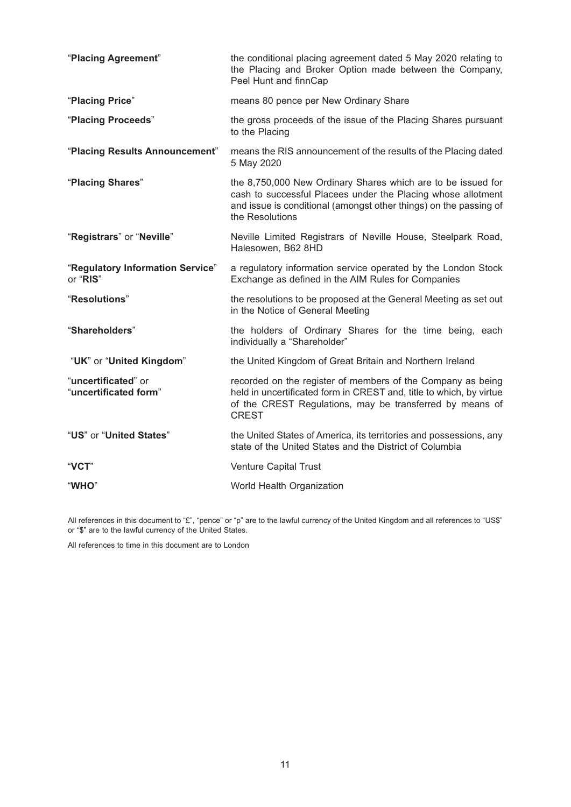| "Placing Agreement"                          | the conditional placing agreement dated 5 May 2020 relating to<br>the Placing and Broker Option made between the Company,<br>Peel Hunt and finnCap                                                                   |
|----------------------------------------------|----------------------------------------------------------------------------------------------------------------------------------------------------------------------------------------------------------------------|
| "Placing Price"                              | means 80 pence per New Ordinary Share                                                                                                                                                                                |
| "Placing Proceeds"                           | the gross proceeds of the issue of the Placing Shares pursuant<br>to the Placing                                                                                                                                     |
| "Placing Results Announcement"               | means the RIS announcement of the results of the Placing dated<br>5 May 2020                                                                                                                                         |
| "Placing Shares"                             | the 8,750,000 New Ordinary Shares which are to be issued for<br>cash to successful Placees under the Placing whose allotment<br>and issue is conditional (amongst other things) on the passing of<br>the Resolutions |
| "Registrars" or "Neville"                    | Neville Limited Registrars of Neville House, Steelpark Road,<br>Halesowen, B62 8HD                                                                                                                                   |
| "Regulatory Information Service"<br>or "RIS" | a regulatory information service operated by the London Stock<br>Exchange as defined in the AIM Rules for Companies                                                                                                  |
| "Resolutions"                                | the resolutions to be proposed at the General Meeting as set out<br>in the Notice of General Meeting                                                                                                                 |
| "Shareholders"                               | the holders of Ordinary Shares for the time being, each<br>individually a "Shareholder"                                                                                                                              |
| "UK" or "United Kingdom"                     | the United Kingdom of Great Britain and Northern Ireland                                                                                                                                                             |
| "uncertificated" or<br>"uncertificated form" | recorded on the register of members of the Company as being<br>held in uncertificated form in CREST and, title to which, by virtue<br>of the CREST Regulations, may be transferred by means of<br><b>CREST</b>       |
| "US" or "United States"                      | the United States of America, its territories and possessions, any<br>state of the United States and the District of Columbia                                                                                        |
| "VCT"                                        | Venture Capital Trust                                                                                                                                                                                                |
| "WHO"                                        | World Health Organization                                                                                                                                                                                            |

All references in this document to "£", "pence" or "p" are to the lawful currency of the United Kingdom and all references to "US\$" or "\$" are to the lawful currency of the United States.

All references to time in this document are to London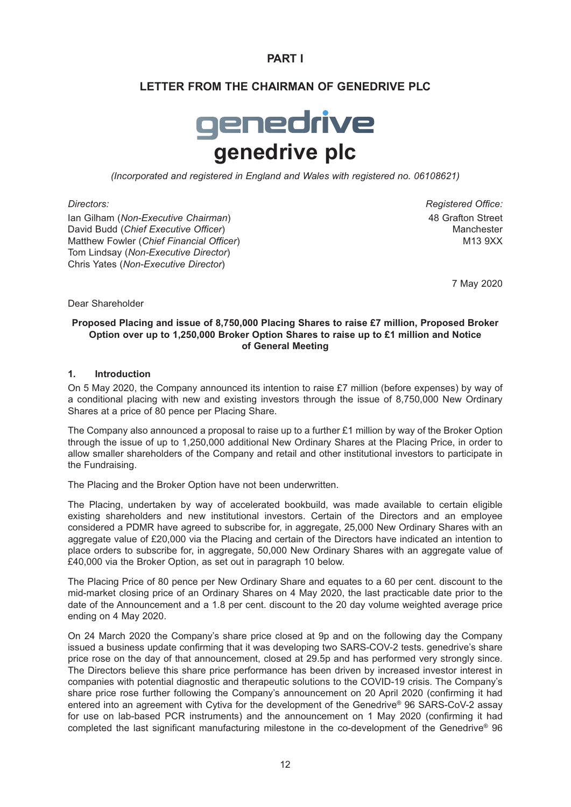# **PART I**

# **LETTER FROM THE CHAIRMAN OF GENEDRIVE PLC**

# genedrive **genedrive plc**

*(Incorporated and registered in England and Wales with registered no. 06108621)*

Ian Gilham (*Non-Executive Chairman*) 48 Grafton Street David Budd (*Chief Executive Officer*) Manchester Matthew Fowler (*Chief Financial Officer*) M13 9XX Tom Lindsay (*Non-Executive Director*) Chris Yates (*Non-Executive Director*)

*Directors: Registered Office:*

7 May 2020

Dear Shareholder

#### **Proposed Placing and issue of 8,750,000 Placing Shares to raise £7 million, Proposed Broker Option over up to 1,250,000 Broker Option Shares to raise up to £1 million and Notice of General Meeting**

#### **1. Introduction**

On 5 May 2020, the Company announced its intention to raise  $£7$  million (before expenses) by way of a conditional placing with new and existing investors through the issue of 8,750,000 New Ordinary Shares at a price of 80 pence per Placing Share.

The Company also announced a proposal to raise up to a further £1 million by way of the Broker Option through the issue of up to 1,250,000 additional New Ordinary Shares at the Placing Price, in order to allow smaller shareholders of the Company and retail and other institutional investors to participate in the Fundraising.

The Placing and the Broker Option have not been underwritten.

The Placing, undertaken by way of accelerated bookbuild, was made available to certain eligible existing shareholders and new institutional investors. Certain of the Directors and an employee considered a PDMR have agreed to subscribe for, in aggregate, 25,000 New Ordinary Shares with an aggregate value of £20,000 via the Placing and certain of the Directors have indicated an intention to place orders to subscribe for, in aggregate, 50,000 New Ordinary Shares with an aggregate value of £40,000 via the Broker Option, as set out in paragraph 10 below.

The Placing Price of 80 pence per New Ordinary Share and equates to a 60 per cent. discount to the mid-market closing price of an Ordinary Shares on 4 May 2020, the last practicable date prior to the date of the Announcement and a 1.8 per cent. discount to the 20 day volume weighted average price ending on 4 May 2020.

On 24 March 2020 the Company's share price closed at 9p and on the following day the Company issued a business update confirming that it was developing two SARS-COV-2 tests. genedrive's share price rose on the day of that announcement, closed at 29.5p and has performed very strongly since. The Directors believe this share price performance has been driven by increased investor interest in companies with potential diagnostic and therapeutic solutions to the COVID-19 crisis. The Company's share price rose further following the Company's announcement on 20 April 2020 (confirming it had entered into an agreement with Cytiva for the development of the Genedrive® 96 SARS-CoV-2 assay for use on lab-based PCR instruments) and the announcement on 1 May 2020 (confirming it had completed the last significant manufacturing milestone in the co-development of the Genedrive® 96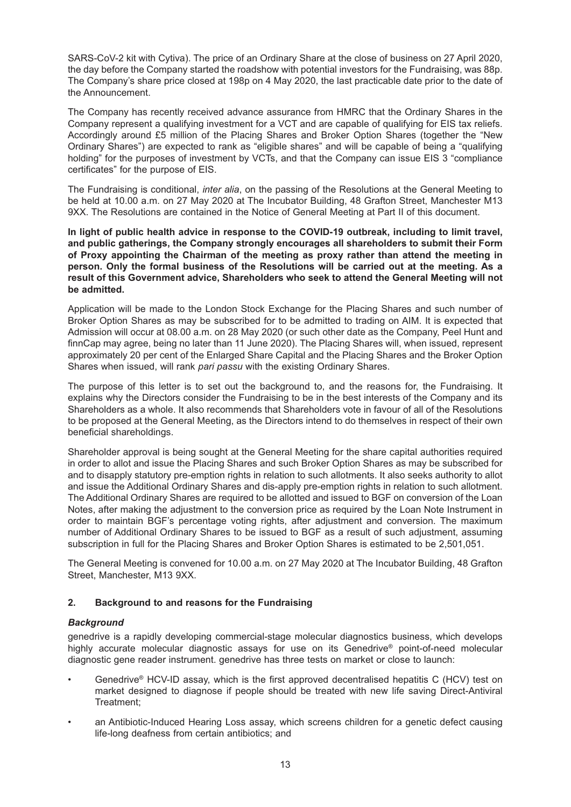SARS-CoV-2 kit with Cytiva). The price of an Ordinary Share at the close of business on 27 April 2020, the day before the Company started the roadshow with potential investors for the Fundraising, was 88p. The Company's share price closed at 198p on 4 May 2020, the last practicable date prior to the date of the Announcement.

The Company has recently received advance assurance from HMRC that the Ordinary Shares in the Company represent a qualifying investment for a VCT and are capable of qualifying for EIS tax reliefs. Accordingly around £5 million of the Placing Shares and Broker Option Shares (together the "New Ordinary Shares") are expected to rank as "eligible shares" and will be capable of being a "qualifying holding" for the purposes of investment by VCTs, and that the Company can issue EIS 3 "compliance certificates" for the purpose of EIS.

The Fundraising is conditional, *inter alia*, on the passing of the Resolutions at the General Meeting to be held at 10.00 a.m. on 27 May 2020 at The Incubator Building, 48 Grafton Street, Manchester M13 9XX. The Resolutions are contained in the Notice of General Meeting at Part II of this document.

**In light of public health advice in response to the COVID-19 outbreak, including to limit travel, and public gatherings, the Company strongly encourages all shareholders to submit their Form of Proxy appointing the Chairman of the meeting as proxy rather than attend the meeting in person. Only the formal business of the Resolutions will be carried out at the meeting. As a result of this Government advice, Shareholders who seek to attend the General Meeting will not be admitted.**

Application will be made to the London Stock Exchange for the Placing Shares and such number of Broker Option Shares as may be subscribed for to be admitted to trading on AIM. It is expected that Admission will occur at 08.00 a.m. on 28 May 2020 (or such other date as the Company, Peel Hunt and finnCap may agree, being no later than 11 June 2020). The Placing Shares will, when issued, represent approximately 20 per cent of the Enlarged Share Capital and the Placing Shares and the Broker Option Shares when issued, will rank *pari passu* with the existing Ordinary Shares.

The purpose of this letter is to set out the background to, and the reasons for, the Fundraising. It explains why the Directors consider the Fundraising to be in the best interests of the Company and its Shareholders as a whole. It also recommends that Shareholders vote in favour of all of the Resolutions to be proposed at the General Meeting, as the Directors intend to do themselves in respect of their own beneficial shareholdings.

Shareholder approval is being sought at the General Meeting for the share capital authorities required in order to allot and issue the Placing Shares and such Broker Option Shares as may be subscribed for and to disapply statutory pre-emption rights in relation to such allotments. It also seeks authority to allot and issue the Additional Ordinary Shares and dis-apply pre-emption rights in relation to such allotment. The Additional Ordinary Shares are required to be allotted and issued to BGF on conversion of the Loan Notes, after making the adjustment to the conversion price as required by the Loan Note Instrument in order to maintain BGF's percentage voting rights, after adjustment and conversion. The maximum number of Additional Ordinary Shares to be issued to BGF as a result of such adjustment, assuming subscription in full for the Placing Shares and Broker Option Shares is estimated to be 2,501,051.

The General Meeting is convened for 10.00 a.m. on 27 May 2020 at The Incubator Building, 48 Grafton Street, Manchester, M13 9XX.

#### **2. Background to and reasons for the Fundraising**

#### *Background*

genedrive is a rapidly developing commercial-stage molecular diagnostics business, which develops highly accurate molecular diagnostic assays for use on its Genedrive® point-of-need molecular diagnostic gene reader instrument. genedrive has three tests on market or close to launch:

- Genedrive® HCV-ID assay, which is the first approved decentralised hepatitis C (HCV) test on market designed to diagnose if people should be treated with new life saving Direct-Antiviral Treatment;
- an Antibiotic-Induced Hearing Loss assay, which screens children for a genetic defect causing life-long deafness from certain antibiotics; and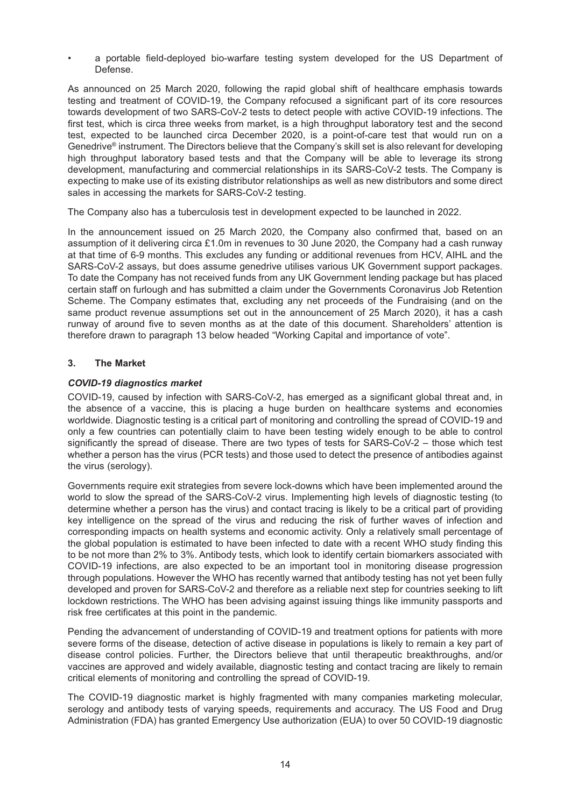• a portable field-deployed bio-warfare testing system developed for the US Department of Defense.

As announced on 25 March 2020, following the rapid global shift of healthcare emphasis towards testing and treatment of COVID-19, the Company refocused a significant part of its core resources towards development of two SARS-CoV-2 tests to detect people with active COVID-19 infections. The first test, which is circa three weeks from market, is a high throughput laboratory test and the second test, expected to be launched circa December 2020, is a point-of-care test that would run on a Genedrive® instrument. The Directors believe that the Company's skill set is also relevant for developing high throughput laboratory based tests and that the Company will be able to leverage its strong development, manufacturing and commercial relationships in its SARS-CoV-2 tests. The Company is expecting to make use of its existing distributor relationships as well as new distributors and some direct sales in accessing the markets for SARS-CoV-2 testing.

The Company also has a tuberculosis test in development expected to be launched in 2022.

In the announcement issued on 25 March 2020, the Company also confirmed that, based on an assumption of it delivering circa £1.0m in revenues to 30 June 2020, the Company had a cash runway at that time of 6-9 months. This excludes any funding or additional revenues from HCV, AIHL and the SARS-CoV-2 assays, but does assume genedrive utilises various UK Government support packages. To date the Company has not received funds from any UK Government lending package but has placed certain staff on furlough and has submitted a claim under the Governments Coronavirus Job Retention Scheme. The Company estimates that, excluding any net proceeds of the Fundraising (and on the same product revenue assumptions set out in the announcement of 25 March 2020), it has a cash runway of around five to seven months as at the date of this document. Shareholders' attention is therefore drawn to paragraph 13 below headed "Working Capital and importance of vote".

## **3. The Market**

#### *COVID-19 diagnostics market*

COVID-19, caused by infection with SARS-CoV-2, has emerged as a significant global threat and, in the absence of a vaccine, this is placing a huge burden on healthcare systems and economies worldwide. Diagnostic testing is a critical part of monitoring and controlling the spread of COVID-19 and only a few countries can potentially claim to have been testing widely enough to be able to control significantly the spread of disease. There are two types of tests for SARS-CoV-2 – those which test whether a person has the virus (PCR tests) and those used to detect the presence of antibodies against the virus (serology).

Governments require exit strategies from severe lock-downs which have been implemented around the world to slow the spread of the SARS-CoV-2 virus. Implementing high levels of diagnostic testing (to determine whether a person has the virus) and contact tracing is likely to be a critical part of providing key intelligence on the spread of the virus and reducing the risk of further waves of infection and corresponding impacts on health systems and economic activity. Only a relatively small percentage of the global population is estimated to have been infected to date with a recent WHO study finding this to be not more than 2% to 3%. Antibody tests, which look to identify certain biomarkers associated with COVID-19 infections, are also expected to be an important tool in monitoring disease progression through populations. However the WHO has recently warned that antibody testing has not yet been fully developed and proven for SARS-CoV-2 and therefore as a reliable next step for countries seeking to lift lockdown restrictions. The WHO has been advising against issuing things like immunity passports and risk free certificates at this point in the pandemic.

Pending the advancement of understanding of COVID-19 and treatment options for patients with more severe forms of the disease, detection of active disease in populations is likely to remain a key part of disease control policies. Further, the Directors believe that until therapeutic breakthroughs, and/or vaccines are approved and widely available, diagnostic testing and contact tracing are likely to remain critical elements of monitoring and controlling the spread of COVID-19.

The COVID-19 diagnostic market is highly fragmented with many companies marketing molecular, serology and antibody tests of varying speeds, requirements and accuracy. The US Food and Drug Administration (FDA) has granted Emergency Use authorization (EUA) to over 50 COVID-19 diagnostic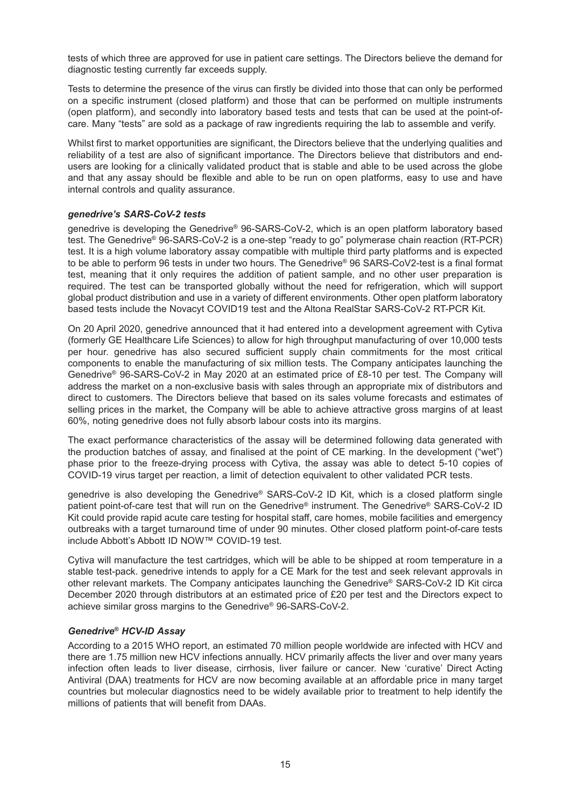tests of which three are approved for use in patient care settings. The Directors believe the demand for diagnostic testing currently far exceeds supply.

Tests to determine the presence of the virus can firstly be divided into those that can only be performed on a specific instrument (closed platform) and those that can be performed on multiple instruments (open platform), and secondly into laboratory based tests and tests that can be used at the point-ofcare. Many "tests" are sold as a package of raw ingredients requiring the lab to assemble and verify.

Whilst first to market opportunities are significant, the Directors believe that the underlying qualities and reliability of a test are also of significant importance. The Directors believe that distributors and endusers are looking for a clinically validated product that is stable and able to be used across the globe and that any assay should be flexible and able to be run on open platforms, easy to use and have internal controls and quality assurance.

#### *genedrive's SARS-CoV-2 tests*

genedrive is developing the Genedrive® 96-SARS-CoV-2, which is an open platform laboratory based test. The Genedrive® 96-SARS-CoV-2 is a one-step "ready to go" polymerase chain reaction (RT-PCR) test. It is a high volume laboratory assay compatible with multiple third party platforms and is expected to be able to perform 96 tests in under two hours. The Genedrive® 96 SARS-CoV2-test is a final format test, meaning that it only requires the addition of patient sample, and no other user preparation is required. The test can be transported globally without the need for refrigeration, which will support global product distribution and use in a variety of different environments. Other open platform laboratory based tests include the Novacyt COVID19 test and the Altona RealStar SARS-CoV-2 RT-PCR Kit.

On 20 April 2020, genedrive announced that it had entered into a development agreement with Cytiva (formerly GE Healthcare Life Sciences) to allow for high throughput manufacturing of over 10,000 tests per hour. genedrive has also secured sufficient supply chain commitments for the most critical components to enable the manufacturing of six million tests. The Company anticipates launching the Genedrive® 96-SARS-CoV-2 in May 2020 at an estimated price of £8-10 per test. The Company will address the market on a non-exclusive basis with sales through an appropriate mix of distributors and direct to customers. The Directors believe that based on its sales volume forecasts and estimates of selling prices in the market, the Company will be able to achieve attractive gross margins of at least 60%, noting genedrive does not fully absorb labour costs into its margins.

The exact performance characteristics of the assay will be determined following data generated with the production batches of assay, and finalised at the point of CE marking. In the development ("wet") phase prior to the freeze-drying process with Cytiva, the assay was able to detect 5-10 copies of COVID-19 virus target per reaction, a limit of detection equivalent to other validated PCR tests.

genedrive is also developing the Genedrive® SARS-CoV-2 ID Kit, which is a closed platform single patient point-of-care test that will run on the Genedrive® instrument. The Genedrive® SARS-CoV-2 ID Kit could provide rapid acute care testing for hospital staff, care homes, mobile facilities and emergency outbreaks with a target turnaround time of under 90 minutes. Other closed platform point-of-care tests include Abbott's Abbott ID NOW™ COVID-19 test.

Cytiva will manufacture the test cartridges, which will be able to be shipped at room temperature in a stable test-pack. genedrive intends to apply for a CE Mark for the test and seek relevant approvals in other relevant markets. The Company anticipates launching the Genedrive® SARS-CoV-2 ID Kit circa December 2020 through distributors at an estimated price of £20 per test and the Directors expect to achieve similar gross margins to the Genedrive® 96-SARS-CoV-2.

#### *Genedrive® HCV-ID Assay*

According to a 2015 WHO report, an estimated 70 million people worldwide are infected with HCV and there are 1.75 million new HCV infections annually. HCV primarily affects the liver and over many years infection often leads to liver disease, cirrhosis, liver failure or cancer. New 'curative' Direct Acting Antiviral (DAA) treatments for HCV are now becoming available at an affordable price in many target countries but molecular diagnostics need to be widely available prior to treatment to help identify the millions of patients that will benefit from DAAs.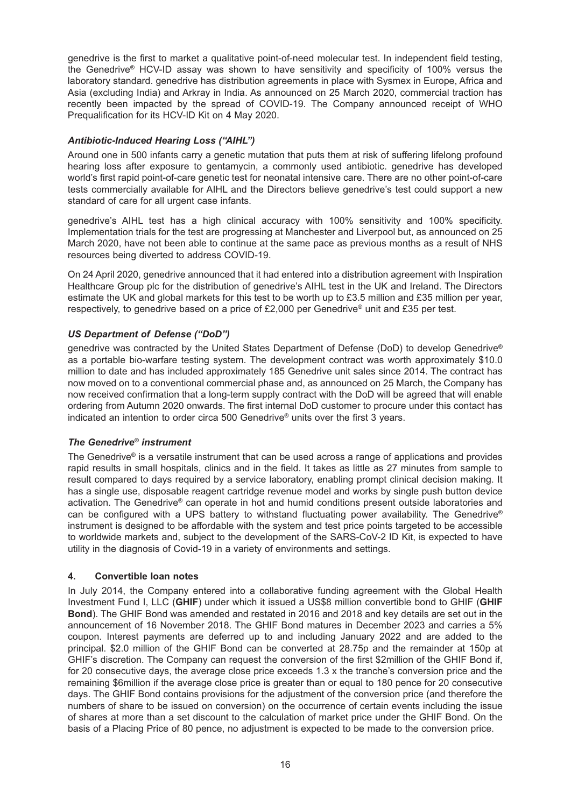genedrive is the first to market a qualitative point-of-need molecular test. In independent field testing, the Genedrive® HCV-ID assay was shown to have sensitivity and specificity of 100% versus the laboratory standard. genedrive has distribution agreements in place with Sysmex in Europe, Africa and Asia (excluding India) and Arkray in India. As announced on 25 March 2020, commercial traction has recently been impacted by the spread of COVID-19. The Company announced receipt of WHO Prequalification for its HCV-ID Kit on 4 May 2020.

## *Antibiotic-Induced Hearing Loss ("AIHL")*

Around one in 500 infants carry a genetic mutation that puts them at risk of suffering lifelong profound hearing loss after exposure to gentamycin, a commonly used antibiotic. genedrive has developed world's first rapid point-of-care genetic test for neonatal intensive care. There are no other point-of-care tests commercially available for AIHL and the Directors believe genedrive's test could support a new standard of care for all urgent case infants.

genedrive's AIHL test has a high clinical accuracy with 100% sensitivity and 100% specificity. Implementation trials for the test are progressing at Manchester and Liverpool but, as announced on 25 March 2020, have not been able to continue at the same pace as previous months as a result of NHS resources being diverted to address COVID-19.

On 24 April 2020, genedrive announced that it had entered into a distribution agreement with Inspiration Healthcare Group plc for the distribution of genedrive's AIHL test in the UK and Ireland. The Directors estimate the UK and global markets for this test to be worth up to £3.5 million and £35 million per year, respectively, to genedrive based on a price of £2,000 per Genedrive® unit and £35 per test.

## *US Department of Defense ("DoD")*

genedrive was contracted by the United States Department of Defense (DoD) to develop Genedrive® as a portable bio-warfare testing system. The development contract was worth approximately \$10.0 million to date and has included approximately 185 Genedrive unit sales since 2014. The contract has now moved on to a conventional commercial phase and, as announced on 25 March, the Company has now received confirmation that a long-term supply contract with the DoD will be agreed that will enable ordering from Autumn 2020 onwards. The first internal DoD customer to procure under this contact has indicated an intention to order circa 500 Genedrive® units over the first 3 years.

#### *The Genedrive® instrument*

The Genedrive® is a versatile instrument that can be used across a range of applications and provides rapid results in small hospitals, clinics and in the field. It takes as little as 27 minutes from sample to result compared to days required by a service laboratory, enabling prompt clinical decision making. It has a single use, disposable reagent cartridge revenue model and works by single push button device activation. The Genedrive® can operate in hot and humid conditions present outside laboratories and can be configured with a UPS battery to withstand fluctuating power availability. The Genedrive® instrument is designed to be affordable with the system and test price points targeted to be accessible to worldwide markets and, subject to the development of the SARS-CoV-2 ID Kit, is expected to have utility in the diagnosis of Covid-19 in a variety of environments and settings.

#### **4. Convertible loan notes**

In July 2014, the Company entered into a collaborative funding agreement with the Global Health Investment Fund I, LLC (**GHIF**) under which it issued a US\$8 million convertible bond to GHIF (**GHIF Bond**). The GHIF Bond was amended and restated in 2016 and 2018 and key details are set out in the announcement of 16 November 2018. The GHIF Bond matures in December 2023 and carries a 5% coupon. Interest payments are deferred up to and including January 2022 and are added to the principal. \$2.0 million of the GHIF Bond can be converted at 28.75p and the remainder at 150p at GHIF's discretion. The Company can request the conversion of the first \$2million of the GHIF Bond if, for 20 consecutive days, the average close price exceeds 1.3 x the tranche's conversion price and the remaining \$6million if the average close price is greater than or equal to 180 pence for 20 consecutive days. The GHIF Bond contains provisions for the adjustment of the conversion price (and therefore the numbers of share to be issued on conversion) on the occurrence of certain events including the issue of shares at more than a set discount to the calculation of market price under the GHIF Bond. On the basis of a Placing Price of 80 pence, no adjustment is expected to be made to the conversion price.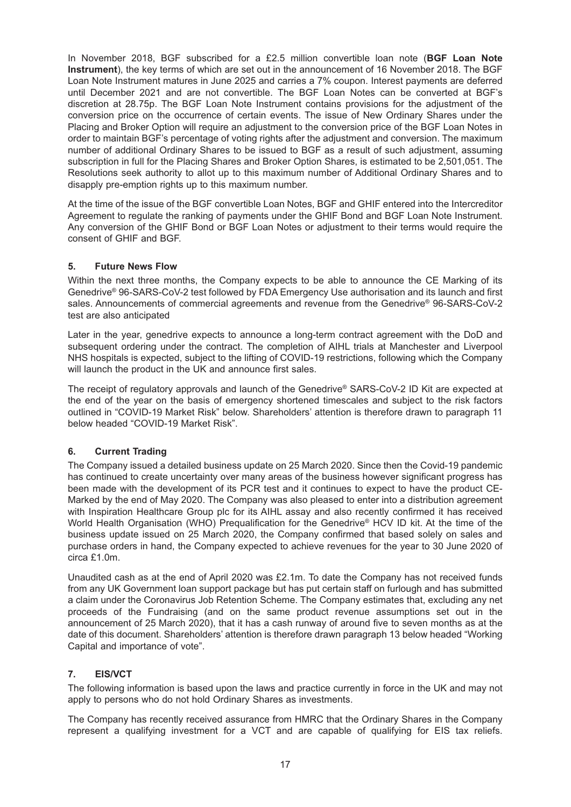In November 2018, BGF subscribed for a £2.5 million convertible loan note (**BGF Loan Note Instrument**), the key terms of which are set out in the announcement of 16 November 2018. The BGF Loan Note Instrument matures in June 2025 and carries a 7% coupon. Interest payments are deferred until December 2021 and are not convertible. The BGF Loan Notes can be converted at BGF's discretion at 28.75p. The BGF Loan Note Instrument contains provisions for the adjustment of the conversion price on the occurrence of certain events. The issue of New Ordinary Shares under the Placing and Broker Option will require an adjustment to the conversion price of the BGF Loan Notes in order to maintain BGF's percentage of voting rights after the adjustment and conversion. The maximum number of additional Ordinary Shares to be issued to BGF as a result of such adjustment, assuming subscription in full for the Placing Shares and Broker Option Shares, is estimated to be 2,501,051. The Resolutions seek authority to allot up to this maximum number of Additional Ordinary Shares and to disapply pre-emption rights up to this maximum number.

At the time of the issue of the BGF convertible Loan Notes, BGF and GHIF entered into the Intercreditor Agreement to regulate the ranking of payments under the GHIF Bond and BGF Loan Note Instrument. Any conversion of the GHIF Bond or BGF Loan Notes or adjustment to their terms would require the consent of GHIF and BGF.

## **5. Future News Flow**

Within the next three months, the Company expects to be able to announce the CE Marking of its Genedrive® 96-SARS-CoV-2 test followed by FDA Emergency Use authorisation and its launch and first sales. Announcements of commercial agreements and revenue from the Genedrive® 96-SARS-CoV-2 test are also anticipated

Later in the year, genedrive expects to announce a long-term contract agreement with the DoD and subsequent ordering under the contract. The completion of AIHL trials at Manchester and Liverpool NHS hospitals is expected, subject to the lifting of COVID-19 restrictions, following which the Company will launch the product in the UK and announce first sales.

The receipt of regulatory approvals and launch of the Genedrive® SARS-CoV-2 ID Kit are expected at the end of the year on the basis of emergency shortened timescales and subject to the risk factors outlined in "COVID-19 Market Risk" below. Shareholders' attention is therefore drawn to paragraph 11 below headed "COVID-19 Market Risk".

## **6. Current Trading**

The Company issued a detailed business update on 25 March 2020. Since then the Covid-19 pandemic has continued to create uncertainty over many areas of the business however significant progress has been made with the development of its PCR test and it continues to expect to have the product CE-Marked by the end of May 2020. The Company was also pleased to enter into a distribution agreement with Inspiration Healthcare Group plc for its AIHL assay and also recently confirmed it has received World Health Organisation (WHO) Prequalification for the Genedrive<sup>®</sup> HCV ID kit. At the time of the business update issued on 25 March 2020, the Company confirmed that based solely on sales and purchase orders in hand, the Company expected to achieve revenues for the year to 30 June 2020 of circa £1.0m.

Unaudited cash as at the end of April 2020 was £2.1m. To date the Company has not received funds from any UK Government loan support package but has put certain staff on furlough and has submitted a claim under the Coronavirus Job Retention Scheme. The Company estimates that, excluding any net proceeds of the Fundraising (and on the same product revenue assumptions set out in the announcement of 25 March 2020), that it has a cash runway of around five to seven months as at the date of this document. Shareholders' attention is therefore drawn paragraph 13 below headed "Working Capital and importance of vote".

## **7. EIS/VCT**

The following information is based upon the laws and practice currently in force in the UK and may not apply to persons who do not hold Ordinary Shares as investments.

The Company has recently received assurance from HMRC that the Ordinary Shares in the Company represent a qualifying investment for a VCT and are capable of qualifying for EIS tax reliefs.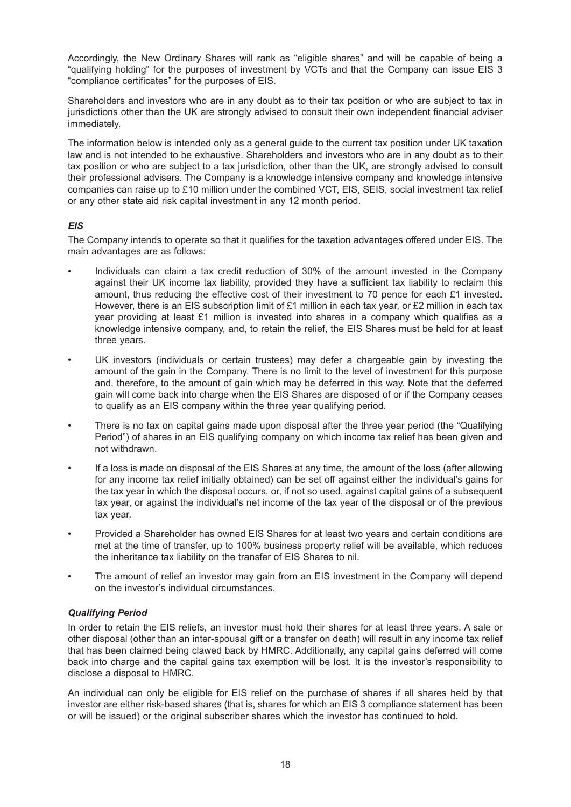Accordingly, the New Ordinary Shares will rank as "eligible shares" and will be capable of being a "qualifying holding" for the purposes of investment by VCTs and that the Company can issue EIS 3 "compliance certificates" for the purposes of EIS.

Shareholders and investors who are in any doubt as to their tax position or who are subject to tax in jurisdictions other than the UK are strongly advised to consult their own independent financial adviser immediately.

The information below is intended only as a general guide to the current tax position under UK taxation law and is not intended to be exhaustive. Shareholders and investors who are in any doubt as to their tax position or who are subject to a tax jurisdiction, other than the UK, are strongly advised to consult their professional advisers. The Company is a knowledge intensive company and knowledge intensive companies can raise up to £10 million under the combined VCT, EIS, SEIS, social investment tax relief or any other state aid risk capital investment in any 12 month period.

## *EIS*

The Company intends to operate so that it qualifies for the taxation advantages offered under EIS. The main advantages are as follows:

- Individuals can claim a tax credit reduction of 30% of the amount invested in the Company against their UK income tax liability, provided they have a sufficient tax liability to reclaim this amount, thus reducing the effective cost of their investment to 70 pence for each £1 invested. However, there is an EIS subscription limit of £1 million in each tax year, or £2 million in each tax year providing at least £1 million is invested into shares in a company which qualifies as a knowledge intensive company, and, to retain the relief, the EIS Shares must be held for at least three years.
- UK investors (individuals or certain trustees) may defer a chargeable gain by investing the amount of the gain in the Company. There is no limit to the level of investment for this purpose and, therefore, to the amount of gain which may be deferred in this way. Note that the deferred gain will come back into charge when the EIS Shares are disposed of or if the Company ceases to qualify as an EIS company within the three year qualifying period.
- There is no tax on capital gains made upon disposal after the three year period (the "Qualifying Period") of shares in an EIS qualifying company on which income tax relief has been given and not withdrawn.
- If a loss is made on disposal of the EIS Shares at any time, the amount of the loss (after allowing for any income tax relief initially obtained) can be set off against either the individual's gains for the tax year in which the disposal occurs, or, if not so used, against capital gains of a subsequent tax year, or against the individual's net income of the tax year of the disposal or of the previous tax year.
- Provided a Shareholder has owned EIS Shares for at least two years and certain conditions are met at the time of transfer, up to 100% business property relief will be available, which reduces the inheritance tax liability on the transfer of EIS Shares to nil.
- The amount of relief an investor may gain from an EIS investment in the Company will depend on the investor's individual circumstances.

## *Qualifying Period*

In order to retain the EIS reliefs, an investor must hold their shares for at least three years. A sale or other disposal (other than an inter-spousal gift or a transfer on death) will result in any income tax relief that has been claimed being clawed back by HMRC. Additionally, any capital gains deferred will come back into charge and the capital gains tax exemption will be lost. It is the investor's responsibility to disclose a disposal to HMRC.

An individual can only be eligible for EIS relief on the purchase of shares if all shares held by that investor are either risk-based shares (that is, shares for which an EIS 3 compliance statement has been or will be issued) or the original subscriber shares which the investor has continued to hold.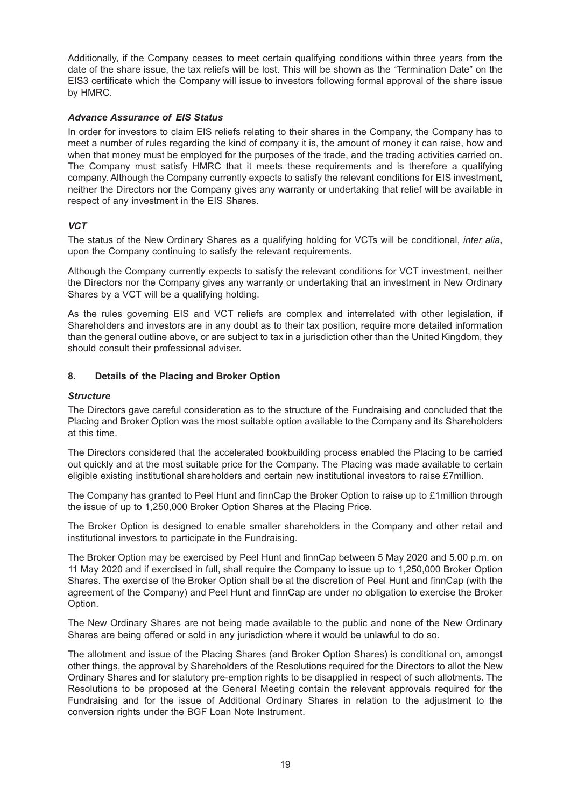Additionally, if the Company ceases to meet certain qualifying conditions within three years from the date of the share issue, the tax reliefs will be lost. This will be shown as the "Termination Date" on the EIS3 certificate which the Company will issue to investors following formal approval of the share issue by HMRC.

#### *Advance Assurance of EIS Status*

In order for investors to claim EIS reliefs relating to their shares in the Company, the Company has to meet a number of rules regarding the kind of company it is, the amount of money it can raise, how and when that money must be employed for the purposes of the trade, and the trading activities carried on. The Company must satisfy HMRC that it meets these requirements and is therefore a qualifying company. Although the Company currently expects to satisfy the relevant conditions for EIS investment, neither the Directors nor the Company gives any warranty or undertaking that relief will be available in respect of any investment in the EIS Shares.

## *VCT*

The status of the New Ordinary Shares as a qualifying holding for VCTs will be conditional, *inter alia*, upon the Company continuing to satisfy the relevant requirements.

Although the Company currently expects to satisfy the relevant conditions for VCT investment, neither the Directors nor the Company gives any warranty or undertaking that an investment in New Ordinary Shares by a VCT will be a qualifying holding.

As the rules governing EIS and VCT reliefs are complex and interrelated with other legislation, if Shareholders and investors are in any doubt as to their tax position, require more detailed information than the general outline above, or are subject to tax in a jurisdiction other than the United Kingdom, they should consult their professional adviser.

## **8. Details of the Placing and Broker Option**

#### *Structure*

The Directors gave careful consideration as to the structure of the Fundraising and concluded that the Placing and Broker Option was the most suitable option available to the Company and its Shareholders at this time.

The Directors considered that the accelerated bookbuilding process enabled the Placing to be carried out quickly and at the most suitable price for the Company. The Placing was made available to certain eligible existing institutional shareholders and certain new institutional investors to raise £7million.

The Company has granted to Peel Hunt and finnCap the Broker Option to raise up to £1million through the issue of up to 1,250,000 Broker Option Shares at the Placing Price.

The Broker Option is designed to enable smaller shareholders in the Company and other retail and institutional investors to participate in the Fundraising.

The Broker Option may be exercised by Peel Hunt and finnCap between 5 May 2020 and 5.00 p.m. on 11 May 2020 and if exercised in full, shall require the Company to issue up to 1,250,000 Broker Option Shares. The exercise of the Broker Option shall be at the discretion of Peel Hunt and finnCap (with the agreement of the Company) and Peel Hunt and finnCap are under no obligation to exercise the Broker Option.

The New Ordinary Shares are not being made available to the public and none of the New Ordinary Shares are being offered or sold in any jurisdiction where it would be unlawful to do so.

The allotment and issue of the Placing Shares (and Broker Option Shares) is conditional on, amongst other things, the approval by Shareholders of the Resolutions required for the Directors to allot the New Ordinary Shares and for statutory pre-emption rights to be disapplied in respect of such allotments. The Resolutions to be proposed at the General Meeting contain the relevant approvals required for the Fundraising and for the issue of Additional Ordinary Shares in relation to the adjustment to the conversion rights under the BGF Loan Note Instrument.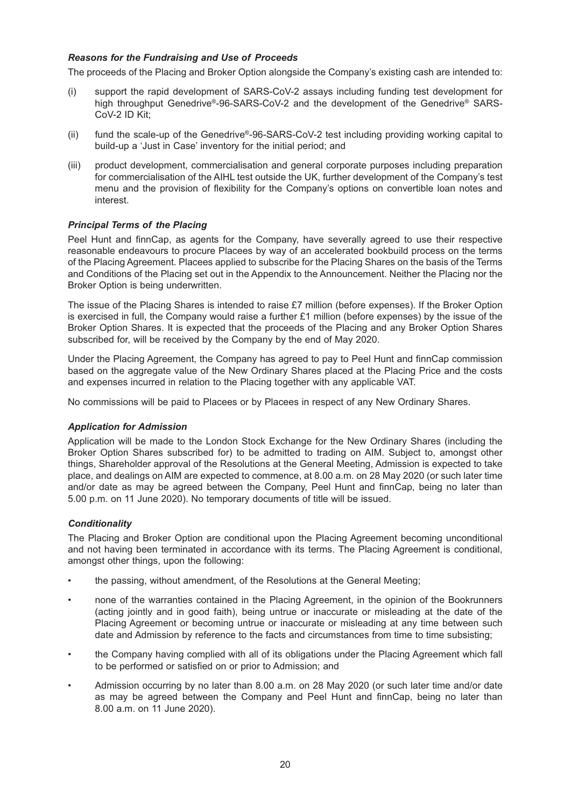#### *Reasons for the Fundraising and Use of Proceeds*

The proceeds of the Placing and Broker Option alongside the Company's existing cash are intended to:

- (i) support the rapid development of SARS-CoV-2 assays including funding test development for high throughput Genedrive®-96-SARS-CoV-2 and the development of the Genedrive® SARS-CoV-2 ID Kit;
- (ii) fund the scale-up of the Genedrive®-96-SARS-CoV-2 test including providing working capital to build-up a 'Just in Case' inventory for the initial period; and
- (iii) product development, commercialisation and general corporate purposes including preparation for commercialisation of the AIHL test outside the UK, further development of the Company's test menu and the provision of flexibility for the Company's options on convertible loan notes and interest.

## *Principal Terms of the Placing*

Peel Hunt and finnCap, as agents for the Company, have severally agreed to use their respective reasonable endeavours to procure Placees by way of an accelerated bookbuild process on the terms of the Placing Agreement. Placees applied to subscribe for the Placing Shares on the basis of the Terms and Conditions of the Placing set out in the Appendix to the Announcement. Neither the Placing nor the Broker Option is being underwritten.

The issue of the Placing Shares is intended to raise £7 million (before expenses). If the Broker Option is exercised in full, the Company would raise a further £1 million (before expenses) by the issue of the Broker Option Shares. It is expected that the proceeds of the Placing and any Broker Option Shares subscribed for, will be received by the Company by the end of May 2020.

Under the Placing Agreement, the Company has agreed to pay to Peel Hunt and finnCap commission based on the aggregate value of the New Ordinary Shares placed at the Placing Price and the costs and expenses incurred in relation to the Placing together with any applicable VAT.

No commissions will be paid to Placees or by Placees in respect of any New Ordinary Shares.

#### *Application for Admission*

Application will be made to the London Stock Exchange for the New Ordinary Shares (including the Broker Option Shares subscribed for) to be admitted to trading on AIM. Subject to, amongst other things, Shareholder approval of the Resolutions at the General Meeting, Admission is expected to take place, and dealings on AIM are expected to commence, at 8.00 a.m. on 28 May 2020 (or such later time and/or date as may be agreed between the Company, Peel Hunt and finnCap, being no later than 5.00 p.m. on 11 June 2020). No temporary documents of title will be issued.

#### *Conditionality*

The Placing and Broker Option are conditional upon the Placing Agreement becoming unconditional and not having been terminated in accordance with its terms. The Placing Agreement is conditional, amongst other things, upon the following:

- the passing, without amendment, of the Resolutions at the General Meeting;
- none of the warranties contained in the Placing Agreement, in the opinion of the Bookrunners (acting jointly and in good faith), being untrue or inaccurate or misleading at the date of the Placing Agreement or becoming untrue or inaccurate or misleading at any time between such date and Admission by reference to the facts and circumstances from time to time subsisting;
- the Company having complied with all of its obligations under the Placing Agreement which fall to be performed or satisfied on or prior to Admission; and
- Admission occurring by no later than 8.00 a.m. on 28 May 2020 (or such later time and/or date as may be agreed between the Company and Peel Hunt and finnCap, being no later than 8.00 a.m. on 11 June 2020).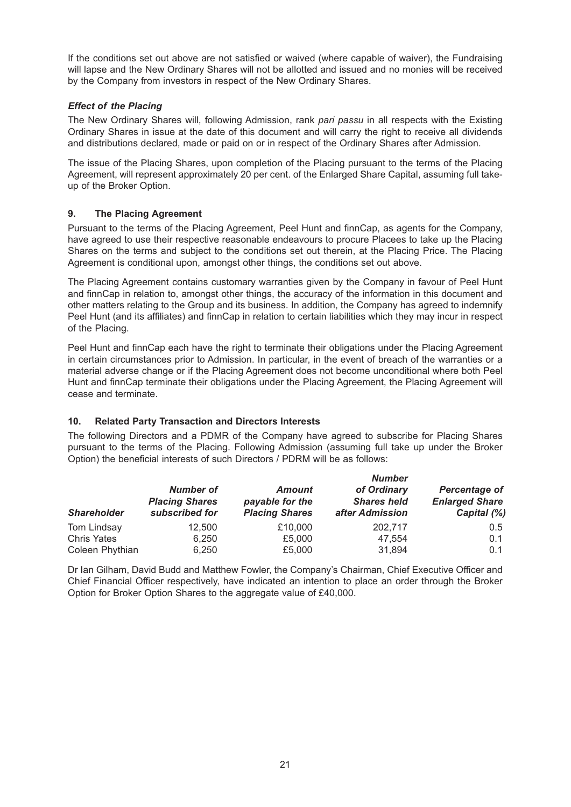If the conditions set out above are not satisfied or waived (where capable of waiver), the Fundraising will lapse and the New Ordinary Shares will not be allotted and issued and no monies will be received by the Company from investors in respect of the New Ordinary Shares.

## *Effect of the Placing*

The New Ordinary Shares will, following Admission, rank *pari passu* in all respects with the Existing Ordinary Shares in issue at the date of this document and will carry the right to receive all dividends and distributions declared, made or paid on or in respect of the Ordinary Shares after Admission.

The issue of the Placing Shares, upon completion of the Placing pursuant to the terms of the Placing Agreement, will represent approximately 20 per cent. of the Enlarged Share Capital, assuming full takeup of the Broker Option.

## **9. The Placing Agreement**

Pursuant to the terms of the Placing Agreement, Peel Hunt and finnCap, as agents for the Company, have agreed to use their respective reasonable endeavours to procure Placees to take up the Placing Shares on the terms and subject to the conditions set out therein, at the Placing Price. The Placing Agreement is conditional upon, amongst other things, the conditions set out above.

The Placing Agreement contains customary warranties given by the Company in favour of Peel Hunt and finnCap in relation to, amongst other things, the accuracy of the information in this document and other matters relating to the Group and its business. In addition, the Company has agreed to indemnify Peel Hunt (and its affiliates) and finnCap in relation to certain liabilities which they may incur in respect of the Placing.

Peel Hunt and finnCap each have the right to terminate their obligations under the Placing Agreement in certain circumstances prior to Admission. In particular, in the event of breach of the warranties or a material adverse change or if the Placing Agreement does not become unconditional where both Peel Hunt and finnCap terminate their obligations under the Placing Agreement, the Placing Agreement will cease and terminate.

#### **10. Related Party Transaction and Directors Interests**

The following Directors and a PDMR of the Company have agreed to subscribe for Placing Shares pursuant to the terms of the Placing. Following Admission (assuming full take up under the Broker Option) the beneficial interests of such Directors / PDRM will be as follows:

| <b>Shareholder</b> |                                                             | <b>Number</b>                                             |                                                      |                                                              |  |
|--------------------|-------------------------------------------------------------|-----------------------------------------------------------|------------------------------------------------------|--------------------------------------------------------------|--|
|                    | <b>Number of</b><br><b>Placing Shares</b><br>subscribed for | <b>Amount</b><br>payable for the<br><b>Placing Shares</b> | of Ordinary<br><b>Shares held</b><br>after Admission | <b>Percentage of</b><br><b>Enlarged Share</b><br>Capital (%) |  |
| Tom Lindsay        | 12.500                                                      | £10,000                                                   | 202.717                                              | $0.5^{\circ}$                                                |  |
| <b>Chris Yates</b> | 6.250                                                       | £5,000                                                    | 47,554                                               | 0.1                                                          |  |
| Coleen Phythian    | 6.250                                                       | £5,000                                                    | 31,894                                               | 0.1                                                          |  |

Dr Ian Gilham, David Budd and Matthew Fowler, the Company's Chairman, Chief Executive Officer and Chief Financial Officer respectively, have indicated an intention to place an order through the Broker Option for Broker Option Shares to the aggregate value of £40,000.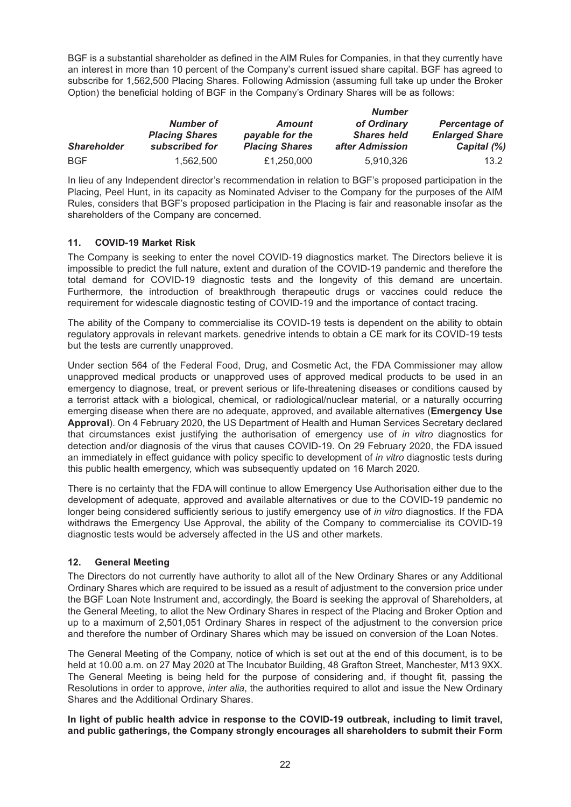BGF is a substantial shareholder as defined in the AIM Rules for Companies, in that they currently have an interest in more than 10 percent of the Company's current issued share capital. BGF has agreed to subscribe for 1,562,500 Placing Shares. Following Admission (assuming full take up under the Broker Option) the beneficial holding of BGF in the Company's Ordinary Shares will be as follows:

|                    |                                    |                                  | <b>Number</b><br>of Ordinary<br><b>Shares held</b> | <b>Percentage of</b><br><b>Enlarged Share</b> |
|--------------------|------------------------------------|----------------------------------|----------------------------------------------------|-----------------------------------------------|
|                    | Number of<br><b>Placing Shares</b> | <b>Amount</b><br>payable for the |                                                    |                                               |
|                    |                                    |                                  |                                                    |                                               |
| <b>Shareholder</b> | subscribed for                     | <b>Placing Shares</b>            | after Admission                                    | Capital (%)                                   |
| <b>BGF</b>         | 1.562.500                          | £1,250,000                       | 5.910.326                                          | 13.2                                          |

In lieu of any Independent director's recommendation in relation to BGF's proposed participation in the Placing, Peel Hunt, in its capacity as Nominated Adviser to the Company for the purposes of the AIM Rules, considers that BGF's proposed participation in the Placing is fair and reasonable insofar as the shareholders of the Company are concerned.

## **11. COVID-19 Market Risk**

The Company is seeking to enter the novel COVID-19 diagnostics market. The Directors believe it is impossible to predict the full nature, extent and duration of the COVID-19 pandemic and therefore the total demand for COVID-19 diagnostic tests and the longevity of this demand are uncertain. Furthermore, the introduction of breakthrough therapeutic drugs or vaccines could reduce the requirement for widescale diagnostic testing of COVID-19 and the importance of contact tracing.

The ability of the Company to commercialise its COVID-19 tests is dependent on the ability to obtain regulatory approvals in relevant markets. genedrive intends to obtain a CE mark for its COVID-19 tests but the tests are currently unapproved.

Under section 564 of the Federal Food, Drug, and Cosmetic Act, the FDA Commissioner may allow unapproved medical products or unapproved uses of approved medical products to be used in an emergency to diagnose, treat, or prevent serious or life-threatening diseases or conditions caused by a terrorist attack with a biological, chemical, or radiological/nuclear material, or a naturally occurring emerging disease when there are no adequate, approved, and available alternatives (**Emergency Use Approval**). On 4 February 2020, the US Department of Health and Human Services Secretary declared that circumstances exist justifying the authorisation of emergency use of *in vitro* diagnostics for detection and/or diagnosis of the virus that causes COVID-19. On 29 February 2020, the FDA issued an immediately in effect guidance with policy specific to development of *in vitro* diagnostic tests during this public health emergency, which was subsequently updated on 16 March 2020.

There is no certainty that the FDA will continue to allow Emergency Use Authorisation either due to the development of adequate, approved and available alternatives or due to the COVID-19 pandemic no longer being considered sufficiently serious to justify emergency use of *in vitro* diagnostics. If the FDA withdraws the Emergency Use Approval, the ability of the Company to commercialise its COVID-19 diagnostic tests would be adversely affected in the US and other markets.

## **12. General Meeting**

The Directors do not currently have authority to allot all of the New Ordinary Shares or any Additional Ordinary Shares which are required to be issued as a result of adjustment to the conversion price under the BGF Loan Note Instrument and, accordingly, the Board is seeking the approval of Shareholders, at the General Meeting, to allot the New Ordinary Shares in respect of the Placing and Broker Option and up to a maximum of 2,501,051 Ordinary Shares in respect of the adjustment to the conversion price and therefore the number of Ordinary Shares which may be issued on conversion of the Loan Notes.

The General Meeting of the Company, notice of which is set out at the end of this document, is to be held at 10.00 a.m. on 27 May 2020 at The Incubator Building, 48 Grafton Street, Manchester, M13 9XX. The General Meeting is being held for the purpose of considering and, if thought fit, passing the Resolutions in order to approve, *inter alia*, the authorities required to allot and issue the New Ordinary Shares and the Additional Ordinary Shares.

**In light of public health advice in response to the COVID-19 outbreak, including to limit travel, and public gatherings, the Company strongly encourages all shareholders to submit their Form**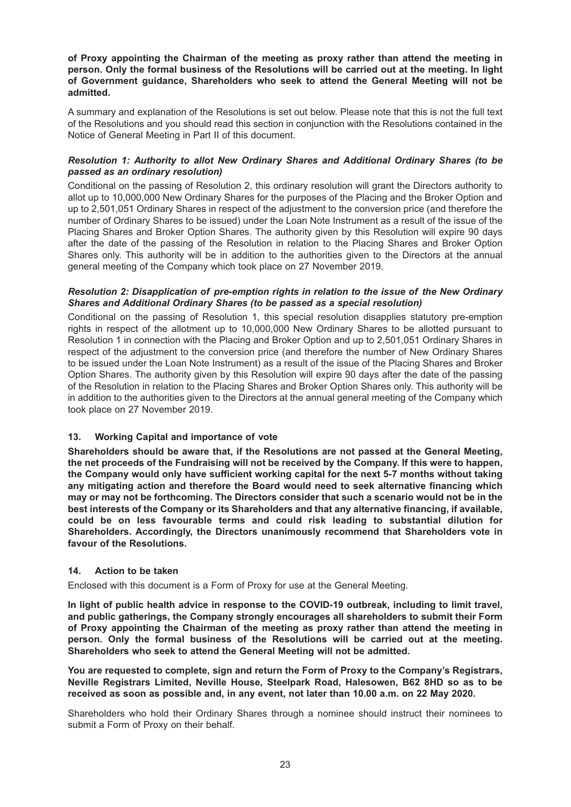**of Proxy appointing the Chairman of the meeting as proxy rather than attend the meeting in person. Only the formal business of the Resolutions will be carried out at the meeting. In light of Government guidance, Shareholders who seek to attend the General Meeting will not be admitted.**

A summary and explanation of the Resolutions is set out below. Please note that this is not the full text of the Resolutions and you should read this section in conjunction with the Resolutions contained in the Notice of General Meeting in Part II of this document.

## *Resolution 1: Authority to allot New Ordinary Shares and Additional Ordinary Shares (to be passed as an ordinary resolution)*

Conditional on the passing of Resolution 2, this ordinary resolution will grant the Directors authority to allot up to 10,000,000 New Ordinary Shares for the purposes of the Placing and the Broker Option and up to 2,501,051 Ordinary Shares in respect of the adjustment to the conversion price (and therefore the number of Ordinary Shares to be issued) under the Loan Note Instrument as a result of the issue of the Placing Shares and Broker Option Shares. The authority given by this Resolution will expire 90 days after the date of the passing of the Resolution in relation to the Placing Shares and Broker Option Shares only. This authority will be in addition to the authorities given to the Directors at the annual general meeting of the Company which took place on 27 November 2019.

#### *Resolution 2: Disapplication of pre-emption rights in relation to the issue of the New Ordinary Shares and Additional Ordinary Shares (to be passed as a special resolution)*

Conditional on the passing of Resolution 1, this special resolution disapplies statutory pre-emption rights in respect of the allotment up to 10,000,000 New Ordinary Shares to be allotted pursuant to Resolution 1 in connection with the Placing and Broker Option and up to 2,501,051 Ordinary Shares in respect of the adjustment to the conversion price (and therefore the number of New Ordinary Shares to be issued under the Loan Note Instrument) as a result of the issue of the Placing Shares and Broker Option Shares. The authority given by this Resolution will expire 90 days after the date of the passing of the Resolution in relation to the Placing Shares and Broker Option Shares only. This authority will be in addition to the authorities given to the Directors at the annual general meeting of the Company which took place on 27 November 2019.

#### **13. Working Capital and importance of vote**

**Shareholders should be aware that, if the Resolutions are not passed at the General Meeting, the net proceeds of the Fundraising will not be received by the Company. If this were to happen, the Company would only have sufficient working capital for the next 5-7 months without taking any mitigating action and therefore the Board would need to seek alternative financing which may or may not be forthcoming. The Directors consider that such a scenario would not be in the best interests of the Company or its Shareholders and that any alternative financing, if available, could be on less favourable terms and could risk leading to substantial dilution for Shareholders. Accordingly, the Directors unanimously recommend that Shareholders vote in favour of the Resolutions.**

#### **14. Action to be taken**

Enclosed with this document is a Form of Proxy for use at the General Meeting.

**In light of public health advice in response to the COVID-19 outbreak, including to limit travel, and public gatherings, the Company strongly encourages all shareholders to submit their Form of Proxy appointing the Chairman of the meeting as proxy rather than attend the meeting in person. Only the formal business of the Resolutions will be carried out at the meeting. Shareholders who seek to attend the General Meeting will not be admitted.**

**You are requested to complete, sign and return the Form of Proxy to the Company's Registrars, Neville Registrars Limited, Neville House, Steelpark Road, Halesowen, B62 8HD so as to be received as soon as possible and, in any event, not later than 10.00 a.m. on 22 May 2020.**

Shareholders who hold their Ordinary Shares through a nominee should instruct their nominees to submit a Form of Proxy on their behalf.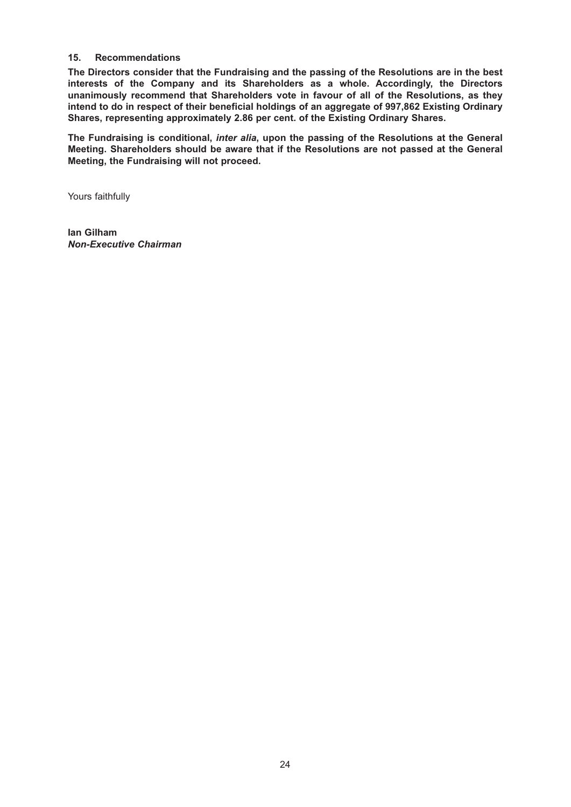## **15. Recommendations**

**The Directors consider that the Fundraising and the passing of the Resolutions are in the best interests of the Company and its Shareholders as a whole. Accordingly, the Directors unanimously recommend that Shareholders vote in favour of all of the Resolutions, as they intend to do in respect of their beneficial holdings of an aggregate of 997,862 Existing Ordinary Shares, representing approximately 2.86 per cent. of the Existing Ordinary Shares.**

**The Fundraising is conditional,** *inter alia***, upon the passing of the Resolutions at the General Meeting. Shareholders should be aware that if the Resolutions are not passed at the General Meeting, the Fundraising will not proceed.**

Yours faithfully

**Ian Gilham** *Non-Executive Chairman*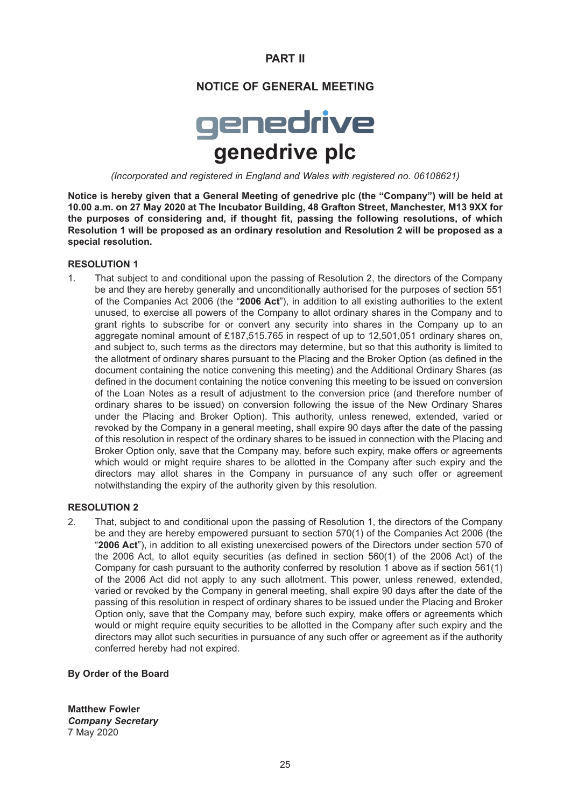# **PART II**

## **NOTICE OF GENERAL MEETING**

# genedrive **genedrive plc**

*(Incorporated and registered in England and Wales with registered no. 06108621)*

**Notice is hereby given that a General Meeting of genedrive plc (the "Company") will be held at 10.00 a.m. on 27 May 2020 at The Incubator Building, 48 Grafton Street, Manchester, M13 9XX for the purposes of considering and, if thought fit, passing the following resolutions, of which Resolution 1 will be proposed as an ordinary resolution and Resolution 2 will be proposed as a special resolution.**

#### **RESOLUTION 1**

1. That subject to and conditional upon the passing of Resolution 2, the directors of the Company be and they are hereby generally and unconditionally authorised for the purposes of section 551 of the Companies Act 2006 (the "**2006 Act**"), in addition to all existing authorities to the extent unused, to exercise all powers of the Company to allot ordinary shares in the Company and to grant rights to subscribe for or convert any security into shares in the Company up to an aggregate nominal amount of £187,515.765 in respect of up to 12,501,051 ordinary shares on, and subject to, such terms as the directors may determine, but so that this authority is limited to the allotment of ordinary shares pursuant to the Placing and the Broker Option (as defined in the document containing the notice convening this meeting) and the Additional Ordinary Shares (as defined in the document containing the notice convening this meeting to be issued on conversion of the Loan Notes as a result of adjustment to the conversion price (and therefore number of ordinary shares to be issued) on conversion following the issue of the New Ordinary Shares under the Placing and Broker Option). This authority, unless renewed, extended, varied or revoked by the Company in a general meeting, shall expire 90 days after the date of the passing of this resolution in respect of the ordinary shares to be issued in connection with the Placing and Broker Option only, save that the Company may, before such expiry, make offers or agreements which would or might require shares to be allotted in the Company after such expiry and the directors may allot shares in the Company in pursuance of any such offer or agreement notwithstanding the expiry of the authority given by this resolution.

#### **RESOLUTION 2**

2. That, subject to and conditional upon the passing of Resolution 1, the directors of the Company be and they are hereby empowered pursuant to section 570(1) of the Companies Act 2006 (the "**2006 Act**"), in addition to all existing unexercised powers of the Directors under section 570 of the 2006 Act, to allot equity securities (as defined in section 560(1) of the 2006 Act) of the Company for cash pursuant to the authority conferred by resolution 1 above as if section 561(1) of the 2006 Act did not apply to any such allotment. This power, unless renewed, extended, varied or revoked by the Company in general meeting, shall expire 90 days after the date of the passing of this resolution in respect of ordinary shares to be issued under the Placing and Broker Option only, save that the Company may, before such expiry, make offers or agreements which would or might require equity securities to be allotted in the Company after such expiry and the directors may allot such securities in pursuance of any such offer or agreement as if the authority conferred hereby had not expired.

#### **By Order of the Board**

**Matthew Fowler** *Company Secretary* 7 May 2020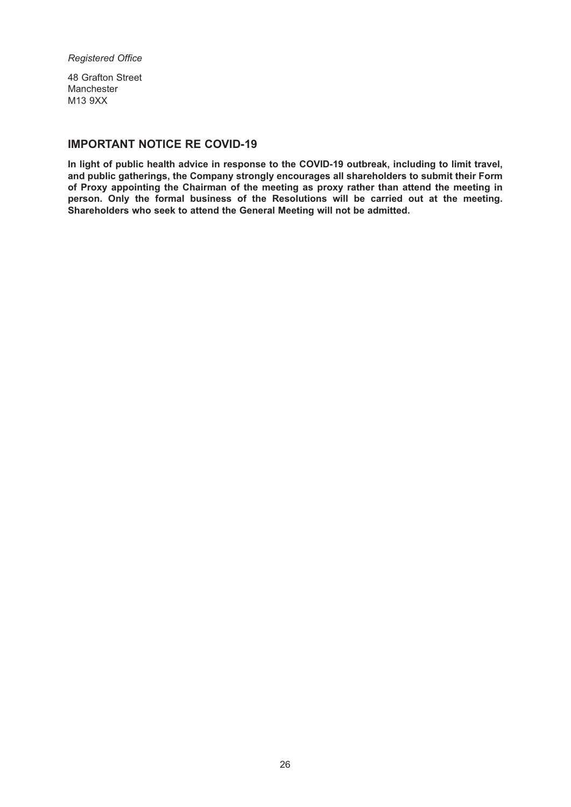#### *Registered Office*

48 Grafton Street Manchester M13 9XX

# **IMPORTANT NOTICE RE COVID-19**

**In light of public health advice in response to the COVID-19 outbreak, including to limit travel, and public gatherings, the Company strongly encourages all shareholders to submit their Form of Proxy appointing the Chairman of the meeting as proxy rather than attend the meeting in person. Only the formal business of the Resolutions will be carried out at the meeting. Shareholders who seek to attend the General Meeting will not be admitted.**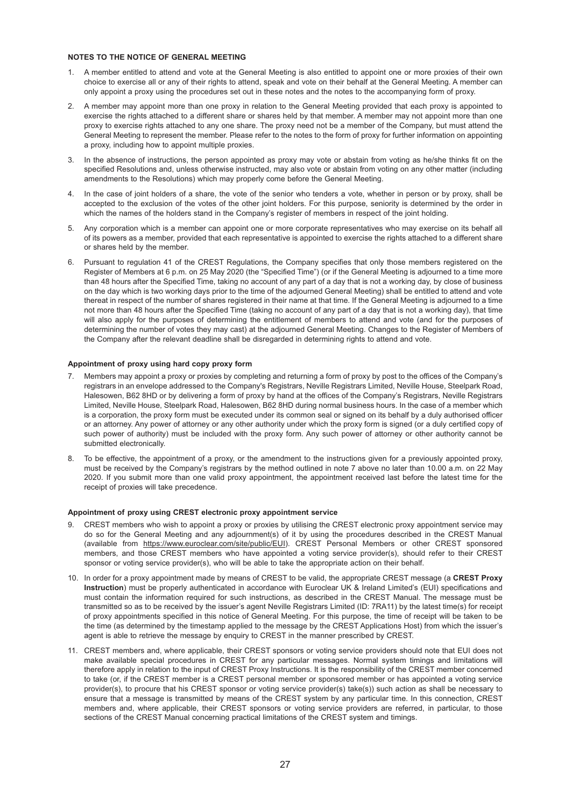#### **NOTES TO THE NOTICE OF GENERAL MEETING**

- 1. A member entitled to attend and vote at the General Meeting is also entitled to appoint one or more proxies of their own choice to exercise all or any of their rights to attend, speak and vote on their behalf at the General Meeting. A member can only appoint a proxy using the procedures set out in these notes and the notes to the accompanying form of proxy.
- 2. A member may appoint more than one proxy in relation to the General Meeting provided that each proxy is appointed to exercise the rights attached to a different share or shares held by that member. A member may not appoint more than one proxy to exercise rights attached to any one share. The proxy need not be a member of the Company, but must attend the General Meeting to represent the member. Please refer to the notes to the form of proxy for further information on appointing a proxy, including how to appoint multiple proxies.
- 3. In the absence of instructions, the person appointed as proxy may vote or abstain from voting as he/she thinks fit on the specified Resolutions and, unless otherwise instructed, may also vote or abstain from voting on any other matter (including amendments to the Resolutions) which may properly come before the General Meeting.
- 4. In the case of joint holders of a share, the vote of the senior who tenders a vote, whether in person or by proxy, shall be accepted to the exclusion of the votes of the other joint holders. For this purpose, seniority is determined by the order in which the names of the holders stand in the Company's register of members in respect of the joint holding.
- 5. Any corporation which is a member can appoint one or more corporate representatives who may exercise on its behalf all of its powers as a member, provided that each representative is appointed to exercise the rights attached to a different share or shares held by the member.
- 6. Pursuant to regulation 41 of the CREST Regulations, the Company specifies that only those members registered on the Register of Members at 6 p.m. on 25 May 2020 (the "Specified Time") (or if the General Meeting is adjourned to a time more than 48 hours after the Specified Time, taking no account of any part of a day that is not a working day, by close of business on the day which is two working days prior to the time of the adjourned General Meeting) shall be entitled to attend and vote thereat in respect of the number of shares registered in their name at that time. If the General Meeting is adjourned to a time not more than 48 hours after the Specified Time (taking no account of any part of a day that is not a working day), that time will also apply for the purposes of determining the entitlement of members to attend and vote (and for the purposes of determining the number of votes they may cast) at the adjourned General Meeting. Changes to the Register of Members of the Company after the relevant deadline shall be disregarded in determining rights to attend and vote.

#### **Appointment of proxy using hard copy proxy form**

- 7. Members may appoint a proxy or proxies by completing and returning a form of proxy by post to the offices of the Company's registrars in an envelope addressed to the Company's Registrars, Neville Registrars Limited, Neville House, Steelpark Road, Halesowen, B62 8HD or by delivering a form of proxy by hand at the offices of the Company's Registrars, Neville Registrars Limited, Neville House, Steelpark Road, Halesowen, B62 8HD during normal business hours. In the case of a member which is a corporation, the proxy form must be executed under its common seal or signed on its behalf by a duly authorised officer or an attorney. Any power of attorney or any other authority under which the proxy form is signed (or a duly certified copy of such power of authority) must be included with the proxy form. Any such power of attorney or other authority cannot be submitted electronically.
- 8. To be effective, the appointment of a proxy, or the amendment to the instructions given for a previously appointed proxy, must be received by the Company's registrars by the method outlined in note 7 above no later than 10.00 a.m. on 22 May 2020. If you submit more than one valid proxy appointment, the appointment received last before the latest time for the receipt of proxies will take precedence.

#### **Appointment of proxy using CREST electronic proxy appointment service**

- CREST members who wish to appoint a proxy or proxies by utilising the CREST electronic proxy appointment service may do so for the General Meeting and any adjournment(s) of it by using the procedures described in the CREST Manual (available from https://www.euroclear.com/site/public/EUI). CREST Personal Members or other CREST sponsored members, and those CREST members who have appointed a voting service provider(s), should refer to their CREST sponsor or voting service provider(s), who will be able to take the appropriate action on their behalf.
- 10. In order for a proxy appointment made by means of CREST to be valid, the appropriate CREST message (a **CREST Proxy** Instruction) must be properly authenticated in accordance with Euroclear UK & Ireland Limited's (EUI) specifications and must contain the information required for such instructions, as described in the CREST Manual. The message must be transmitted so as to be received by the issuer's agent Neville Registrars Limited (ID: 7RA11) by the latest time(s) for receipt of proxy appointments specified in this notice of General Meeting. For this purpose, the time of receipt will be taken to be the time (as determined by the timestamp applied to the message by the CREST Applications Host) from which the issuer's agent is able to retrieve the message by enquiry to CREST in the manner prescribed by CREST.
- 11. CREST members and, where applicable, their CREST sponsors or voting service providers should note that EUI does not make available special procedures in CREST for any particular messages. Normal system timings and limitations will therefore apply in relation to the input of CREST Proxy Instructions. It is the responsibility of the CREST member concerned to take (or, if the CREST member is a CREST personal member or sponsored member or has appointed a voting service provider(s), to procure that his CREST sponsor or voting service provider(s) take(s)) such action as shall be necessary to ensure that a message is transmitted by means of the CREST system by any particular time. In this connection, CREST members and, where applicable, their CREST sponsors or voting service providers are referred, in particular, to those sections of the CREST Manual concerning practical limitations of the CREST system and timings.